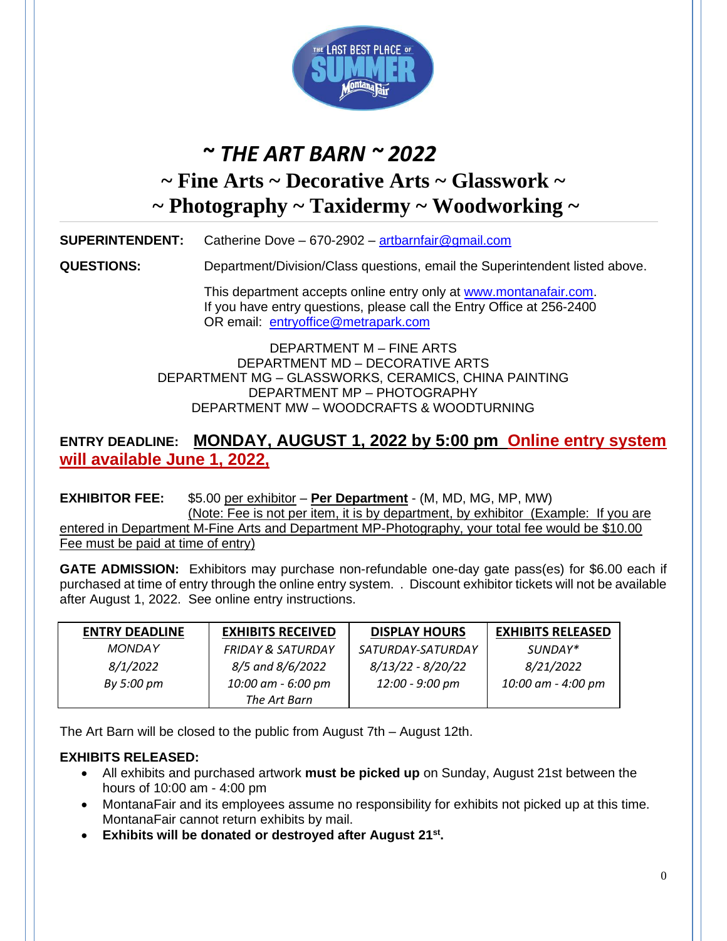

# **~** *THE ART BARN ~ 2022*

# **~ Fine Arts ~ Decorative Arts ~ Glasswork ~ ~ Photography ~ Taxidermy ~ Woodworking ~**

**SUPERINTENDENT:** Catherine Dove – 670-2902 – [artbarnfair@gmail.com](mailto:artbarnfair@gmail.com)

**QUESTIONS:** Department/Division/Class questions, email the Superintendent listed above.

This department accepts online entry only at [www.montanafair.com.](http://www.montanafair.com/) If you have entry questions, please call the Entry Office at 256-2400 OR email: [entryoffice@metrapark.com](mailto:entryoffice@metrapark.com)

DEPARTMENT M – FINE ARTS DEPARTMENT MD – DECORATIVE ARTS DEPARTMENT MG – GLASSWORKS, CERAMICS, CHINA PAINTING DEPARTMENT MP – PHOTOGRAPHY DEPARTMENT MW – WOODCRAFTS & WOODTURNING

### **ENTRY DEADLINE: MONDAY, AUGUST 1, 2022 by 5:00 pm Online entry system will available June 1, 2022,**

**EXHIBITOR FEE:** \$5.00 per exhibitor – **Per Department** - (M, MD, MG, MP, MW) (Note: Fee is not per item, it is by department, by exhibitor (Example: If you are entered in Department M-Fine Arts and Department MP-Photography, your total fee would be \$10.00 Fee must be paid at time of entry)

**GATE ADMISSION:** Exhibitors may purchase non-refundable one-day gate pass(es) for \$6.00 each if purchased at time of entry through the online entry system. . Discount exhibitor tickets will not be available after August 1, 2022. See online entry instructions.

| <b>ENTRY DEADLINE</b> | <b>EXHIBITS RECEIVED</b>     | <b>DISPLAY HOURS</b> | <b>EXHIBITS RELEASED</b> |
|-----------------------|------------------------------|----------------------|--------------------------|
| <b>MONDAY</b>         | <b>FRIDAY &amp; SATURDAY</b> | SATURDAY-SATURDAY    | SUNDAY*                  |
| 8/1/2022              | 8/5 and 8/6/2022             | $8/13/22 - 8/20/22$  | 8/21/2022                |
| By 5:00 pm            | 10:00 am - 6:00 pm           | 12:00 - 9:00 pm      | 10:00 am - 4:00 pm       |
|                       | The Art Barn                 |                      |                          |

The Art Barn will be closed to the public from August 7th – August 12th.

### **EXHIBITS RELEASED:**

- All exhibits and purchased artwork **must be picked up** on Sunday, August 21st between the hours of 10:00 am - 4:00 pm
- MontanaFair and its employees assume no responsibility for exhibits not picked up at this time. MontanaFair cannot return exhibits by mail.
- **Exhibits will be donated or destroyed after August 21 st .**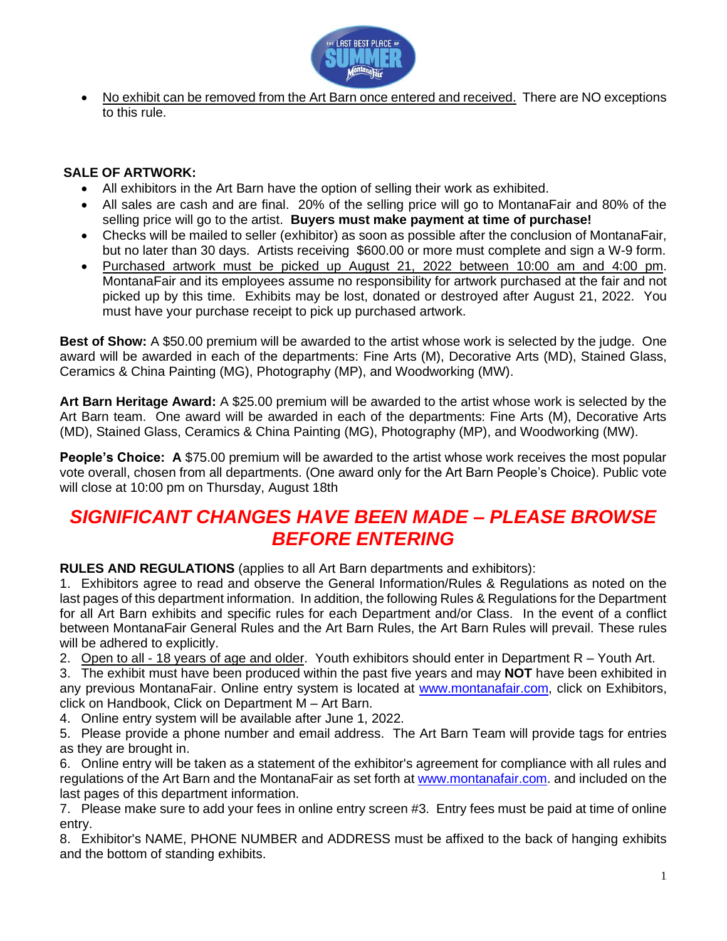

No exhibit can be removed from the Art Barn once entered and received. There are NO exceptions to this rule.

### **SALE OF ARTWORK:**

- All exhibitors in the Art Barn have the option of selling their work as exhibited.
- All sales are cash and are final. 20% of the selling price will go to MontanaFair and 80% of the selling price will go to the artist. **Buyers must make payment at time of purchase!**
- Checks will be mailed to seller (exhibitor) as soon as possible after the conclusion of MontanaFair, but no later than 30 days. Artists receiving \$600.00 or more must complete and sign a W-9 form.
- Purchased artwork must be picked up August 21, 2022 between 10:00 am and 4:00 pm. MontanaFair and its employees assume no responsibility for artwork purchased at the fair and not picked up by this time. Exhibits may be lost, donated or destroyed after August 21, 2022. You must have your purchase receipt to pick up purchased artwork.

**Best of Show:** A \$50.00 premium will be awarded to the artist whose work is selected by the judge. One award will be awarded in each of the departments: Fine Arts (M), Decorative Arts (MD), Stained Glass, Ceramics & China Painting (MG), Photography (MP), and Woodworking (MW).

**Art Barn Heritage Award:** A \$25.00 premium will be awarded to the artist whose work is selected by the Art Barn team. One award will be awarded in each of the departments: Fine Arts (M), Decorative Arts (MD), Stained Glass, Ceramics & China Painting (MG), Photography (MP), and Woodworking (MW).

**People's Choice: A \$75.00 premium will be awarded to the artist whose work receives the most popular** vote overall, chosen from all departments. (One award only for the Art Barn People's Choice). Public vote will close at 10:00 pm on Thursday, August 18th

## *SIGNIFICANT CHANGES HAVE BEEN MADE – PLEASE BROWSE BEFORE ENTERING*

**RULES AND REGULATIONS** (applies to all Art Barn departments and exhibitors):

1. Exhibitors agree to read and observe the General Information/Rules & Regulations as noted on the last pages of this department information. In addition, the following Rules & Regulations for the Department for all Art Barn exhibits and specific rules for each Department and/or Class. In the event of a conflict between MontanaFair General Rules and the Art Barn Rules, the Art Barn Rules will prevail. These rules will be adhered to explicitly.

2. Open to all - 18 years of age and older. Youth exhibitors should enter in Department R - Youth Art.

3. The exhibit must have been produced within the past five years and may **NOT** have been exhibited in any previous MontanaFair. Online entry system is located at [www.montanafair.com,](http://www.montanafair.com/) click on Exhibitors, click on Handbook, Click on Department M – Art Barn.

4. Online entry system will be available after June 1, 2022.

5. Please provide a phone number and email address. The Art Barn Team will provide tags for entries as they are brought in.

6. Online entry will be taken as a statement of the exhibitor's agreement for compliance with all rules and regulations of the Art Barn and the MontanaFair as set forth at [www.montanafair.com.](http://www.montanafair.com/) and included on the last pages of this department information.

7. Please make sure to add your fees in online entry screen #3. Entry fees must be paid at time of online entry.

8. Exhibitor's NAME, PHONE NUMBER and ADDRESS must be affixed to the back of hanging exhibits and the bottom of standing exhibits.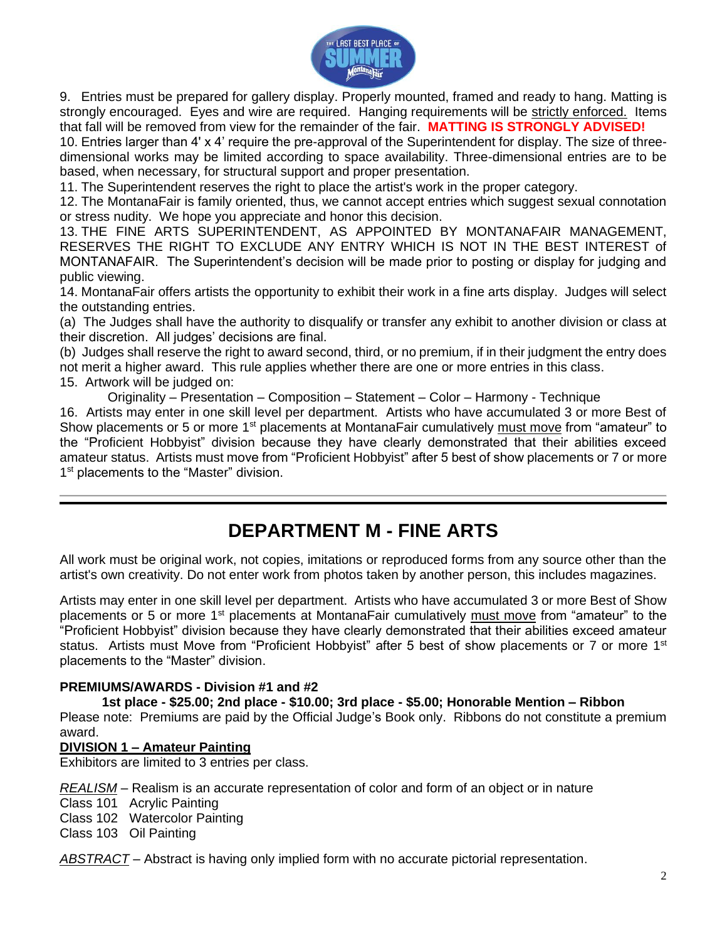

9. Entries must be prepared for gallery display. Properly mounted, framed and ready to hang. Matting is strongly encouraged. Eyes and wire are required. Hanging requirements will be strictly enforced. Items that fall will be removed from view for the remainder of the fair. **MATTING IS STRONGLY ADVISED!**

10. Entries larger than 4' x 4' require the pre-approval of the Superintendent for display. The size of threedimensional works may be limited according to space availability. Three-dimensional entries are to be based, when necessary, for structural support and proper presentation.

11. The Superintendent reserves the right to place the artist's work in the proper category.

12. The MontanaFair is family oriented, thus, we cannot accept entries which suggest sexual connotation or stress nudity. We hope you appreciate and honor this decision.

13. THE FINE ARTS SUPERINTENDENT, AS APPOINTED BY MONTANAFAIR MANAGEMENT, RESERVES THE RIGHT TO EXCLUDE ANY ENTRY WHICH IS NOT IN THE BEST INTEREST of MONTANAFAIR. The Superintendent's decision will be made prior to posting or display for judging and public viewing.

14. MontanaFair offers artists the opportunity to exhibit their work in a fine arts display. Judges will select the outstanding entries.

(a) The Judges shall have the authority to disqualify or transfer any exhibit to another division or class at their discretion. All judges' decisions are final.

(b) Judges shall reserve the right to award second, third, or no premium, if in their judgment the entry does not merit a higher award. This rule applies whether there are one or more entries in this class.

15. Artwork will be judged on:

Originality – Presentation – Composition – Statement – Color – Harmony - Technique 16. Artists may enter in one skill level per department. Artists who have accumulated 3 or more Best of Show placements or 5 or more 1<sup>st</sup> placements at MontanaFair cumulatively must move from "amateur" to the "Proficient Hobbyist" division because they have clearly demonstrated that their abilities exceed amateur status. Artists must move from "Proficient Hobbyist" after 5 best of show placements or 7 or more 1<sup>st</sup> placements to the "Master" division.

## **DEPARTMENT M - FINE ARTS**

All work must be original work, not copies, imitations or reproduced forms from any source other than the artist's own creativity. Do not enter work from photos taken by another person, this includes magazines.

Artists may enter in one skill level per department. Artists who have accumulated 3 or more Best of Show placements or 5 or more 1<sup>st</sup> placements at MontanaFair cumulatively must move from "amateur" to the "Proficient Hobbyist" division because they have clearly demonstrated that their abilities exceed amateur status. Artists must Move from "Proficient Hobbyist" after 5 best of show placements or 7 or more 1<sup>st</sup> placements to the "Master" division.

### **PREMIUMS/AWARDS - Division #1 and #2**

### **1st place - \$25.00; 2nd place - \$10.00; 3rd place - \$5.00; Honorable Mention – Ribbon**

Please note: Premiums are paid by the Official Judge's Book only. Ribbons do not constitute a premium award.

### **DIVISION 1 – Amateur Painting**

Exhibitors are limited to 3 entries per class.

*REALISM* – Realism is an accurate representation of color and form of an object or in nature

Class 101 Acrylic Painting

Class 102 Watercolor Painting

Class 103 Oil Painting

*ABSTRACT* – Abstract is having only implied form with no accurate pictorial representation.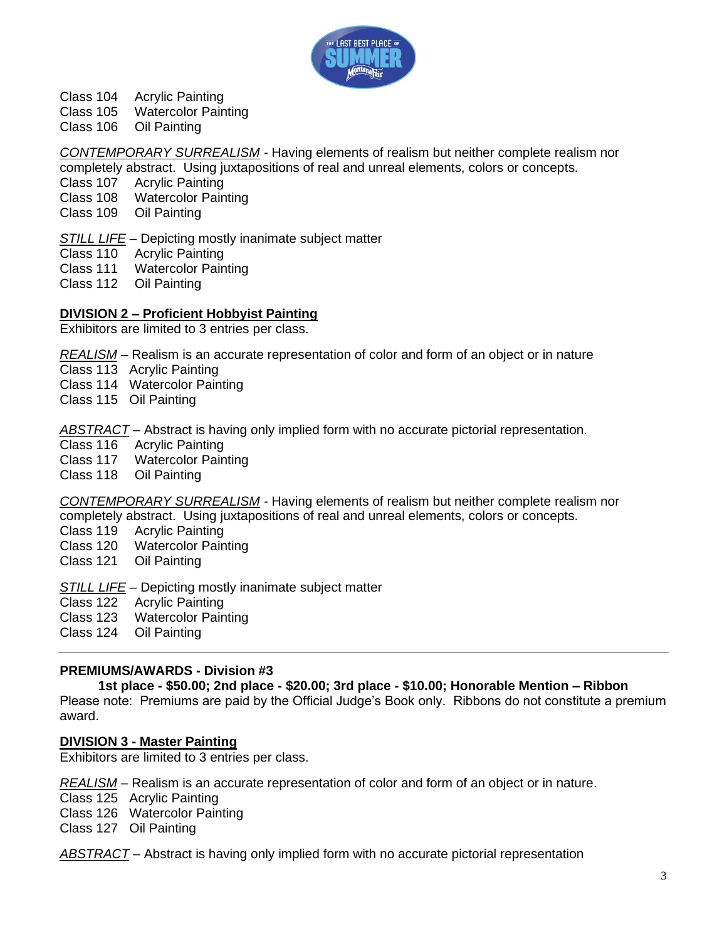

Class 104 Acrylic Painting

Class 105 Watercolor Painting

Class 106 Oil Painting

*CONTEMPORARY SURREALISM -* Having elements of realism but neither complete realism nor completely abstract. Using juxtapositions of real and unreal elements, colors or concepts.

**Acrylic Painting** 

Class 108 Watercolor Painting

Class 109 Oil Painting

*STILL LIFE* – Depicting mostly inanimate subject matter

Class 110 Acrylic Painting

Class 111 Watercolor Painting

Class 112 Oil Painting

### **DIVISION 2 – Proficient Hobbyist Painting**

Exhibitors are limited to 3 entries per class.

*REALISM* – Realism is an accurate representation of color and form of an object or in nature

Class 113 Acrylic Painting

Class 114 Watercolor Painting

Class 115 Oil Painting

*ABSTRACT* – Abstract is having only implied form with no accurate pictorial representation.

Class 116 Acrylic Painting

Class 117 Watercolor Painting

Class 118 Oil Painting

*CONTEMPORARY SURREALISM -* Having elements of realism but neither complete realism nor completely abstract. Using juxtapositions of real and unreal elements, colors or concepts.

Class 119 Acrylic Painting

Class 120 Watercolor Painting

Class 121 Oil Painting

*STILL LIFE* – Depicting mostly inanimate subject matter

Class 122 Acrylic Painting

Class 123 Watercolor Painting

Class 124 Oil Painting

### **PREMIUMS/AWARDS - Division #3**

**1st place - \$50.00; 2nd place - \$20.00; 3rd place - \$10.00; Honorable Mention – Ribbon**

Please note: Premiums are paid by the Official Judge's Book only. Ribbons do not constitute a premium award.

### **DIVISION 3 - Master Painting**

Exhibitors are limited to 3 entries per class.

*REALISM* – Realism is an accurate representation of color and form of an object or in nature. Class 125 Acrylic Painting Class 126 Watercolor Painting Class 127 Oil Painting

*ABSTRACT* – Abstract is having only implied form with no accurate pictorial representation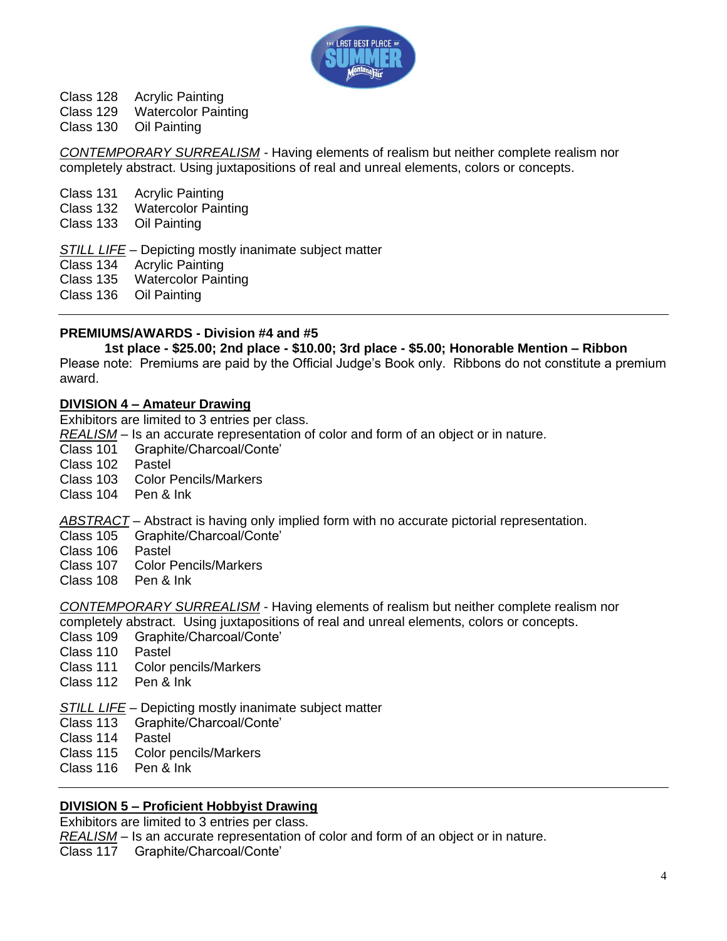

Class 128 Acrylic Painting

Class 129 Watercolor Painting

Class 130 Oil Painting

*CONTEMPORARY SURREALISM -* Having elements of realism but neither complete realism nor completely abstract. Using juxtapositions of real and unreal elements, colors or concepts.

Class 131 Acrylic Painting

Class 132 Watercolor Painting

Class 133 Oil Painting

*STILL LIFE* – Depicting mostly inanimate subject matter

Class 134 Acrylic Painting

Class 135 Watercolor Painting

Class 136 Oil Painting

### **PREMIUMS/AWARDS - Division #4 and #5**

### **1st place - \$25.00; 2nd place - \$10.00; 3rd place - \$5.00; Honorable Mention – Ribbon**

Please note: Premiums are paid by the Official Judge's Book only. Ribbons do not constitute a premium award.

### **DIVISION 4 – Amateur Drawing**

Exhibitors are limited to 3 entries per class.

*REALISM* – Is an accurate representation of color and form of an object or in nature.

Class 101 Graphite/Charcoal/Conte'

Class 102 Pastel

Class 103 Color Pencils/Markers

Class 104 Pen & Ink

*ABSTRACT* – Abstract is having only implied form with no accurate pictorial representation.

Class 105 Graphite/Charcoal/Conte'

- Class 106 Pastel
- Class 107 Color Pencils/Markers
- Class 108 Pen & Ink

*CONTEMPORARY SURREALISM* - Having elements of realism but neither complete realism nor completely abstract. Using juxtapositions of real and unreal elements, colors or concepts.

- Class 109 Graphite/Charcoal/Conte'
- Class 110 Pastel
- Class 111 Color pencils/Markers
- Class 112 Pen & Ink

*STILL LIFE* – Depicting mostly inanimate subject matter

Class 113 Graphite/Charcoal/Conte'

- Class 114 Pastel
- Class 115 Color pencils/Markers
- Class 116 Pen & Ink

### **DIVISION 5 – Proficient Hobbyist Drawing**

Exhibitors are limited to 3 entries per class.

*REALISM* – Is an accurate representation of color and form of an object or in nature.

Class 117 Graphite/Charcoal/Conte'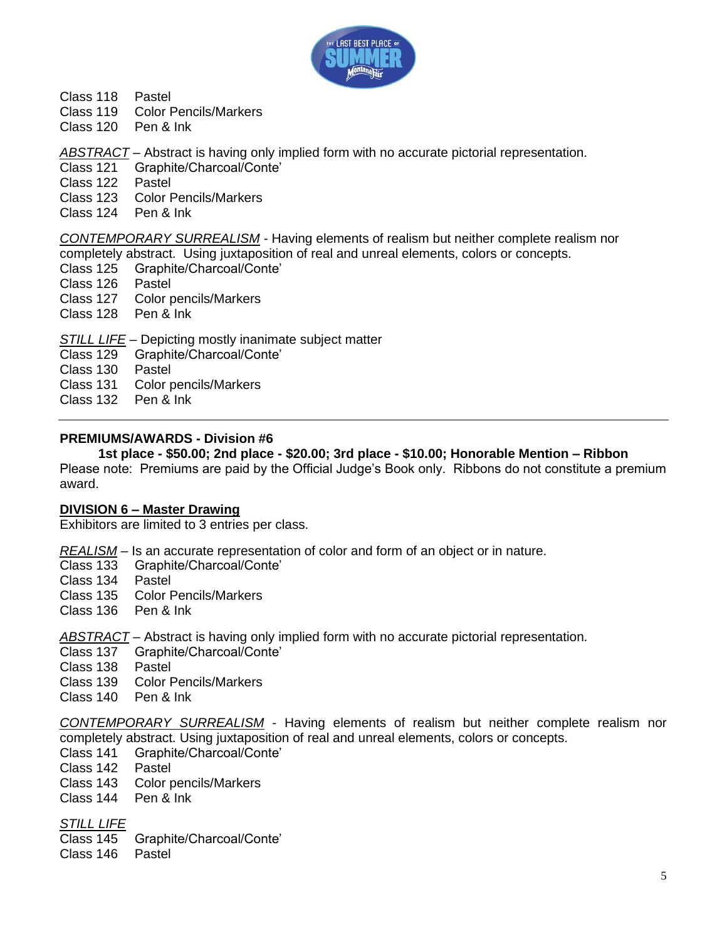

- Class 118 Pastel
- Class 119 Color Pencils/Markers
- Class 120 Pen & Ink

*ABSTRACT* – Abstract is having only implied form with no accurate pictorial representation.

- Class 121 Graphite/Charcoal/Conte'
- Class 122 Pastel
- Class 123 Color Pencils/Markers
- Class 124 Pen & Ink

*CONTEMPORARY SURREALISM* - Having elements of realism but neither complete realism nor completely abstract. Using juxtaposition of real and unreal elements, colors or concepts.

- Class 125 Graphite/Charcoal/Conte'
- Class 126 Pastel
- Class 127 Color pencils/Markers
- Class 128 Pen & Ink

*STILL LIFE* – Depicting mostly inanimate subject matter

- Class 129 Graphite/Charcoal/Conte'
- Class 130 Pastel
- Class 131 Color pencils/Markers
- Class 132 Pen & Ink

### **PREMIUMS/AWARDS - Division #6**

**1st place - \$50.00; 2nd place - \$20.00; 3rd place - \$10.00; Honorable Mention – Ribbon**

Please note: Premiums are paid by the Official Judge's Book only. Ribbons do not constitute a premium award.

### **DIVISION 6 – Master Drawing**

Exhibitors are limited to 3 entries per class.

*REALISM* – Is an accurate representation of color and form of an object or in nature.

- Class 133 Graphite/Charcoal/Conte'
- Class 134 Pastel
- Class 135 Color Pencils/Markers
- Class 136 Pen & Ink

*ABSTRACT* – Abstract is having only implied form with no accurate pictorial representation.

Class 137 Graphite/Charcoal/Conte'

Class 138 Pastel

Class 139 Color Pencils/Markers

Class 140 Pen & Ink

*CONTEMPORARY SURREALISM* - Having elements of realism but neither complete realism nor completely abstract. Using juxtaposition of real and unreal elements, colors or concepts.

- Class 141 Graphite/Charcoal/Conte'
- Class 142 Pastel
- Class 143 Color pencils/Markers
- Class 144 Pen & Ink

*STILL LIFE*

Class 145 Graphite/Charcoal/Conte'

Class 146 Pastel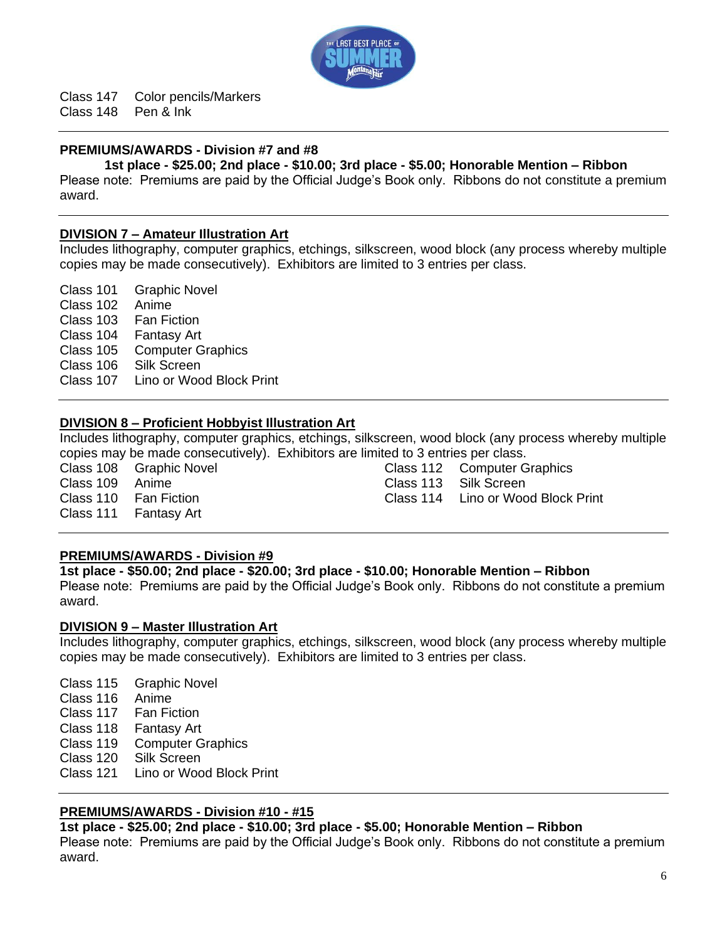

Class 147 Color pencils/Markers<br>Class 148 Pen & Ink  $Class 148$ 

### **PREMIUMS/AWARDS - Division #7 and #8**

**1st place - \$25.00; 2nd place - \$10.00; 3rd place - \$5.00; Honorable Mention – Ribbon**

Please note: Premiums are paid by the Official Judge's Book only. Ribbons do not constitute a premium award.

### **DIVISION 7 – Amateur Illustration Art**

Includes lithography, computer graphics, etchings, silkscreen, wood block (any process whereby multiple copies may be made consecutively). Exhibitors are limited to 3 entries per class.

Class 101 Graphic Novel Class 102 Anime Class 103 Fan Fiction Class 104 Fantasy Art Class 105 Computer Graphics Class 106 Silk Screen Class 107 Lino or Wood Block Print

### **DIVISION 8 – Proficient Hobbyist Illustration Art**

Includes lithography, computer graphics, etchings, silkscreen, wood block (any process whereby multiple copies may be made consecutively). Exhibitors are limited to 3 entries per class.

Class 108 Graphic Novel Class 109 Anime Class 110 Fan Fiction Class 111 Fantasy Art

Class 112 Computer Graphics Class 113 Silk Screen

Class 114 Lino or Wood Block Print

### **PREMIUMS/AWARDS - Division #9**

### **1st place - \$50.00; 2nd place - \$20.00; 3rd place - \$10.00; Honorable Mention – Ribbon**

Please note: Premiums are paid by the Official Judge's Book only. Ribbons do not constitute a premium award.

### **DIVISION 9 – Master Illustration Art**

Includes lithography, computer graphics, etchings, silkscreen, wood block (any process whereby multiple copies may be made consecutively). Exhibitors are limited to 3 entries per class.

Class 115 Graphic Novel Class 116 Anime Class 117 Fan Fiction Class 118 Fantasy Art Class 119 Computer Graphics Class 120 Silk Screen Class 121 Lino or Wood Block Print

### **PREMIUMS/AWARDS - Division #10 - #15**

### **1st place - \$25.00; 2nd place - \$10.00; 3rd place - \$5.00; Honorable Mention – Ribbon**

Please note: Premiums are paid by the Official Judge's Book only. Ribbons do not constitute a premium award.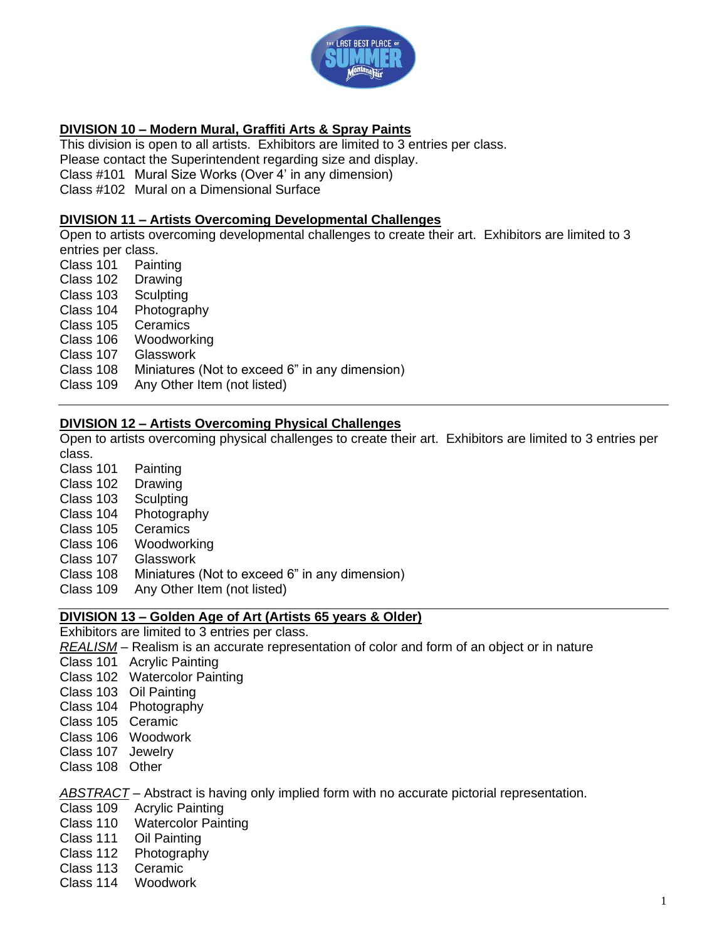

### **DIVISION 10 – Modern Mural, Graffiti Arts & Spray Paints**

This division is open to all artists. Exhibitors are limited to 3 entries per class.

Please contact the Superintendent regarding size and display.

Class #101 Mural Size Works (Over 4' in any dimension)

Class #102 Mural on a Dimensional Surface

### **DIVISION 11 – Artists Overcoming Developmental Challenges**

Open to artists overcoming developmental challenges to create their art. Exhibitors are limited to 3 entries per class.

- Class 101 Painting
- Class 102 Drawing
- Class 103 Sculpting
- Class 104 Photography
- Class 105 Ceramics
- Class 106 Woodworking
- Class 107 Glasswork
- Class 108 Miniatures (Not to exceed 6" in any dimension)
- Class 109 Any Other Item (not listed)

### **DIVISION 12 – Artists Overcoming Physical Challenges**

Open to artists overcoming physical challenges to create their art. Exhibitors are limited to 3 entries per class.

Class 101 Painting Class 102 Drawing Class 103 Sculpting Class 104 Photography Class 105 Ceramics Class 106 Woodworking Class 107 Glasswork Class 108 Miniatures (Not to exceed 6" in any dimension) Class 109 Any Other Item (not listed)

### **DIVISION 13 – Golden Age of Art (Artists 65 years & Older)**

Exhibitors are limited to 3 entries per class.

- *REALISM* Realism is an accurate representation of color and form of an object or in nature
- Class 101 Acrylic Painting
- Class 102 Watercolor Painting
- Class 103 Oil Painting
- Class 104 Photography
- Class 105 Ceramic
- Class 106 Woodwork
- Class 107 Jewelry
- Class 108 Other

*ABSTRACT* – Abstract is having only implied form with no accurate pictorial representation.

- Class 109 Acrylic Painting
- Class 110 Watercolor Painting
- Class 111 Oil Painting
- Class 112 Photography
- Class 113 Ceramic
- Class 114 Woodwork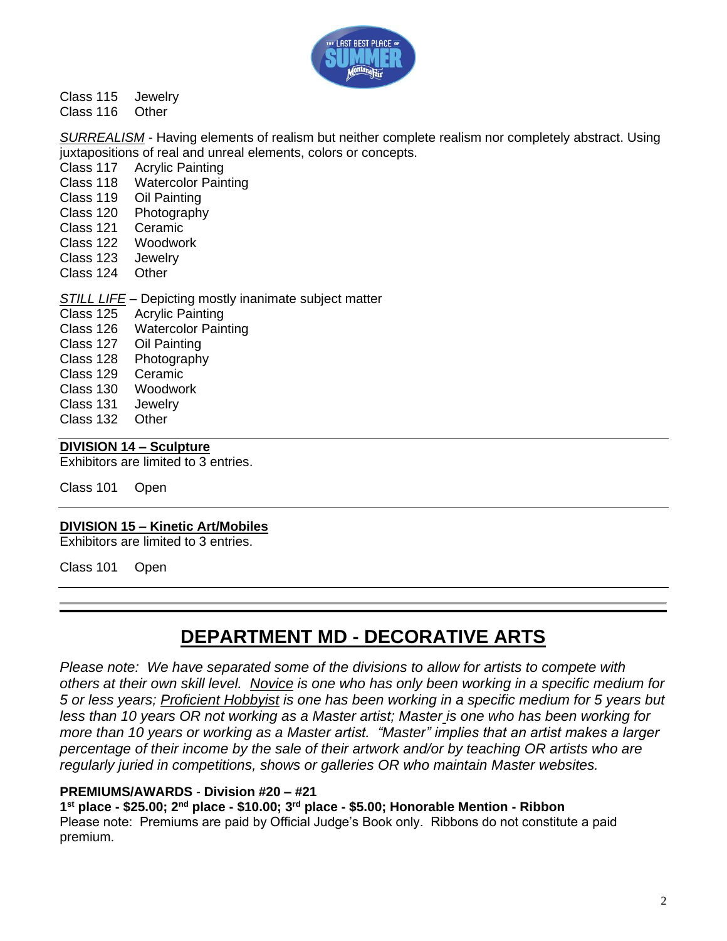

### Class 115 Jewelry

Class 116 Other

*SURREALISM -* Having elements of realism but neither complete realism nor completely abstract. Using juxtapositions of real and unreal elements, colors or concepts.

- Class 117 Acrylic Painting
- Class 118 Watercolor Painting
- Class 119 Oil Painting
- Class 120 Photography
- Class 121 Ceramic
- Class 122 Woodwork
- Class 123 Jewelry
- Class 124 Other
- *STILL LIFE* Depicting mostly inanimate subject matter
- Class 125 Acrylic Painting
- Class 126 Watercolor Painting
- Class 127 Oil Painting
- Class 128 Photography
- Class 129 Ceramic
- Class 130 Woodwork
- Class 131 Jewelry
- Class 132 Other

### **DIVISION 14 – Sculpture**

Exhibitors are limited to 3 entries.

Class 101 Open

### **DIVISION 15 – Kinetic Art/Mobiles**

Exhibitors are limited to 3 entries.

Class 101 Open

# **DEPARTMENT MD - DECORATIVE ARTS**

*Please note: We have separated some of the divisions to allow for artists to compete with others at their own skill level. Novice is one who has only been working in a specific medium for 5 or less years; Proficient Hobbyist is one has been working in a specific medium for 5 years but less than 10 years OR not working as a Master artist; Master is one who has been working for more than 10 years or working as a Master artist. "Master" implies that an artist makes a larger percentage of their income by the sale of their artwork and/or by teaching OR artists who are regularly juried in competitions, shows or galleries OR who maintain Master websites.*

### **PREMIUMS/AWARDS** - **Division #20 – #21**

**1 st place - \$25.00; 2nd place - \$10.00; 3rd place - \$5.00; Honorable Mention - Ribbon** Please note: Premiums are paid by Official Judge's Book only. Ribbons do not constitute a paid premium.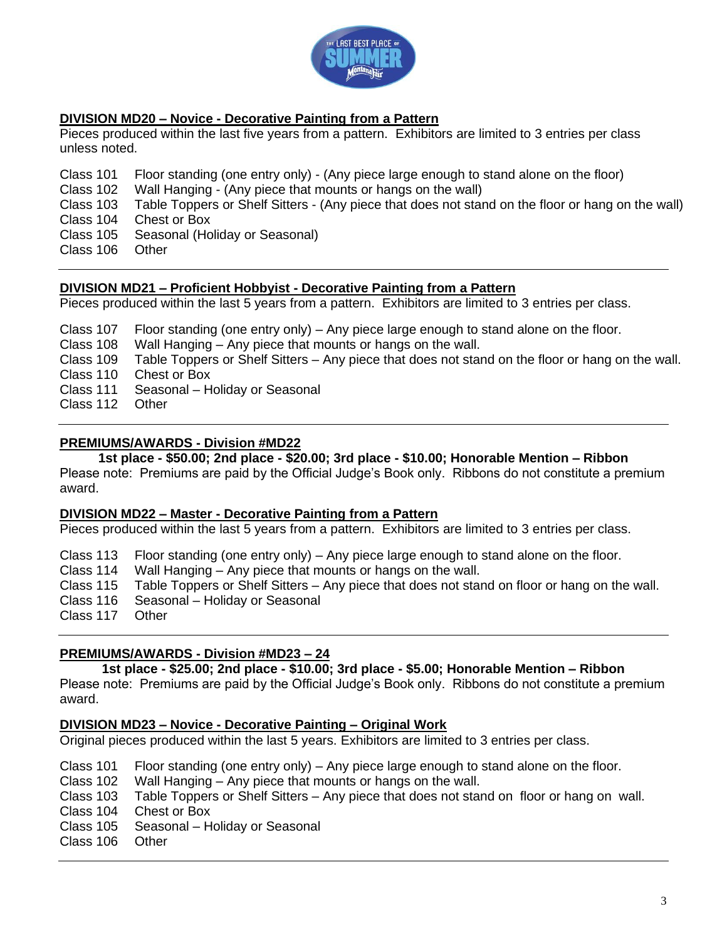

### **DIVISION MD20 – Novice - Decorative Painting from a Pattern**

Pieces produced within the last five years from a pattern. Exhibitors are limited to 3 entries per class unless noted.

Class 101 Floor standing (one entry only) - (Any piece large enough to stand alone on the floor)

Class 102 Wall Hanging - (Any piece that mounts or hangs on the wall)

Class 103 Table Toppers or Shelf Sitters - (Any piece that does not stand on the floor or hang on the wall) Class 104 Chest or Box

- Class 105 Seasonal (Holiday or Seasonal)
- Class 106 Other

### **DIVISION MD21 – Proficient Hobbyist - Decorative Painting from a Pattern**

Pieces produced within the last 5 years from a pattern. Exhibitors are limited to 3 entries per class.

- Class 107 Floor standing (one entry only) Any piece large enough to stand alone on the floor.
- Class 108 Wall Hanging Any piece that mounts or hangs on the wall.

Class 109 Table Toppers or Shelf Sitters – Any piece that does not stand on the floor or hang on the wall.

- Class 110 Chest or Box
- Class 111 Seasonal Holiday or Seasonal
- Class 112 Other

### **PREMIUMS/AWARDS - Division #MD22**

**1st place - \$50.00; 2nd place - \$20.00; 3rd place - \$10.00; Honorable Mention – Ribbon** Please note: Premiums are paid by the Official Judge's Book only. Ribbons do not constitute a premium award.

### **DIVISION MD22 – Master - Decorative Painting from a Pattern**

Pieces produced within the last 5 years from a pattern. Exhibitors are limited to 3 entries per class.

Class 113 Floor standing (one entry only) – Any piece large enough to stand alone on the floor.

Class 114 Wall Hanging – Any piece that mounts or hangs on the wall.

Class 115 Table Toppers or Shelf Sitters – Any piece that does not stand on floor or hang on the wall.

Class 116 Seasonal – Holiday or Seasonal

Class 117 Other

### **PREMIUMS/AWARDS - Division #MD23 – 24**

### **1st place - \$25.00; 2nd place - \$10.00; 3rd place - \$5.00; Honorable Mention – Ribbon**

Please note: Premiums are paid by the Official Judge's Book only. Ribbons do not constitute a premium award.

### **DIVISION MD23 – Novice - Decorative Painting – Original Work**

Original pieces produced within the last 5 years. Exhibitors are limited to 3 entries per class.

- Class 101 Floor standing (one entry only) Any piece large enough to stand alone on the floor.
- Class 102 Wall Hanging Any piece that mounts or hangs on the wall.
- Class 103 Table Toppers or Shelf Sitters Any piece that does not stand on floor or hang on wall.
- Class 104 Chest or Box
- Class 105 Seasonal Holiday or Seasonal
- Class 106 Other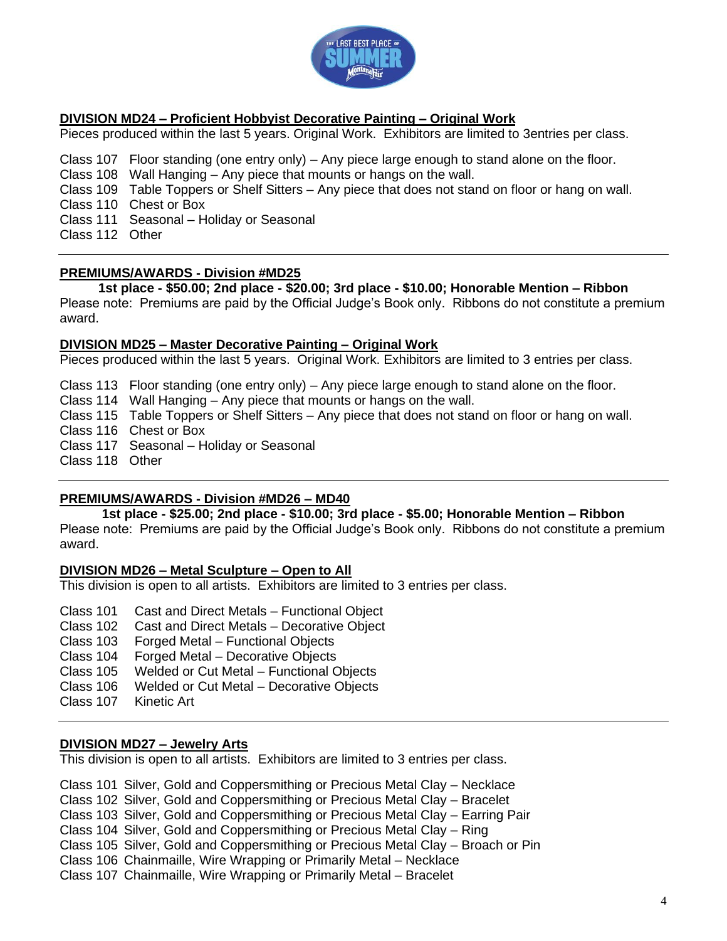

### **DIVISION MD24 – Proficient Hobbyist Decorative Painting – Original Work**

Pieces produced within the last 5 years. Original Work. Exhibitors are limited to 3entries per class.

Class 107 Floor standing (one entry only) – Any piece large enough to stand alone on the floor.

- Class 108 Wall Hanging Any piece that mounts or hangs on the wall.
- Class 109 Table Toppers or Shelf Sitters Any piece that does not stand on floor or hang on wall.

Class 110 Chest or Box

Class 111 Seasonal – Holiday or Seasonal

Class 112 Other

### **PREMIUMS/AWARDS - Division #MD25**

**1st place - \$50.00; 2nd place - \$20.00; 3rd place - \$10.00; Honorable Mention – Ribbon** Please note: Premiums are paid by the Official Judge's Book only. Ribbons do not constitute a premium

award.

### **DIVISION MD25 – Master Decorative Painting – Original Work**

Pieces produced within the last 5 years. Original Work. Exhibitors are limited to 3 entries per class.

Class 113 Floor standing (one entry only) – Any piece large enough to stand alone on the floor.

Class 114 Wall Hanging – Any piece that mounts or hangs on the wall.

Class 115 Table Toppers or Shelf Sitters – Any piece that does not stand on floor or hang on wall.

Class 116 Chest or Box

Class 117 Seasonal – Holiday or Seasonal

Class 118 Other

### **PREMIUMS/AWARDS - Division #MD26 – MD40**

**1st place - \$25.00; 2nd place - \$10.00; 3rd place - \$5.00; Honorable Mention – Ribbon** Please note: Premiums are paid by the Official Judge's Book only. Ribbons do not constitute a premium award.

### **DIVISION MD26 – Metal Sculpture – Open to All**

This division is open to all artists. Exhibitors are limited to 3 entries per class.

- Class 101 Cast and Direct Metals Functional Object
- Class 102 Cast and Direct Metals Decorative Object
- Class 103 Forged Metal Functional Objects
- Class 104 Forged Metal Decorative Objects
- Class 105 Welded or Cut Metal Functional Objects
- Class 106 Welded or Cut Metal Decorative Objects
- Class 107 Kinetic Art

### **DIVISION MD27 – Jewelry Arts**

This division is open to all artists. Exhibitors are limited to 3 entries per class.

Class 101 Silver, Gold and Coppersmithing or Precious Metal Clay – Necklace Class 102 Silver, Gold and Coppersmithing or Precious Metal Clay – Bracelet Class 103 Silver, Gold and Coppersmithing or Precious Metal Clay – Earring Pair Class 104 Silver, Gold and Coppersmithing or Precious Metal Clay – Ring Class 105 Silver, Gold and Coppersmithing or Precious Metal Clay – Broach or Pin Class 106 Chainmaille, Wire Wrapping or Primarily Metal – Necklace Class 107 Chainmaille, Wire Wrapping or Primarily Metal – Bracelet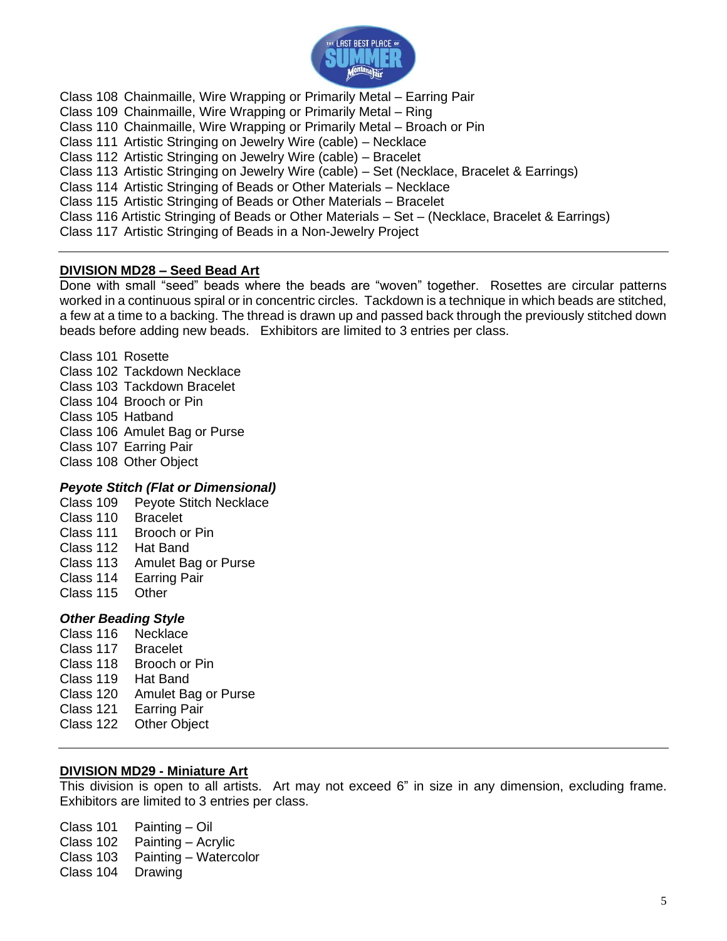

Class 108 Chainmaille, Wire Wrapping or Primarily Metal – Earring Pair Class 109 Chainmaille, Wire Wrapping or Primarily Metal – Ring Class 110 Chainmaille, Wire Wrapping or Primarily Metal – Broach or Pin Class 111 Artistic Stringing on Jewelry Wire (cable) – Necklace Class 112 Artistic Stringing on Jewelry Wire (cable) – Bracelet Class 113 Artistic Stringing on Jewelry Wire (cable) – Set (Necklace, Bracelet & Earrings) Class 114 Artistic Stringing of Beads or Other Materials – Necklace Class 115 Artistic Stringing of Beads or Other Materials – Bracelet Class 116 Artistic Stringing of Beads or Other Materials – Set – (Necklace, Bracelet & Earrings) Class 117 Artistic Stringing of Beads in a Non-Jewelry Project

### **DIVISION MD28 – Seed Bead Art**

Done with small "seed" beads where the beads are "woven" together. Rosettes are circular patterns worked in a continuous spiral or in concentric circles. Tackdown is a technique in which beads are stitched, a few at a time to a backing. The thread is drawn up and passed back through the previously stitched down beads before adding new beads. Exhibitors are limited to 3 entries per class.

Class 101 Rosette Class 102 Tackdown Necklace Class 103 Tackdown Bracelet Class 104 Brooch or Pin Class 105 Hatband Class 106 Amulet Bag or Purse Class 107 Earring Pair Class 108 Other Object

### *Peyote Stitch (Flat or Dimensional)*

- Class 109 Peyote Stitch Necklace
- Class 110 Bracelet Class 111 Brooch or Pin
- Class 112 Hat Band
- Class 113 Amulet Bag or Purse
- Class 114 Earring Pair
- Class 115 Other

### *Other Beading Style*

Class 116 Necklace Class 117 Bracelet Class 118 Brooch or Pin Class 119 Hat Band Class 120 Amulet Bag or Purse Class 121 Earring Pair Class 122 Other Object

### **DIVISION MD29 - Miniature Art**

This division is open to all artists. Art may not exceed 6" in size in any dimension, excluding frame. Exhibitors are limited to 3 entries per class.

Class 101 Painting – Oil Class 102 Painting – Acrylic Class 103 Painting – Watercolor Class 104 Drawing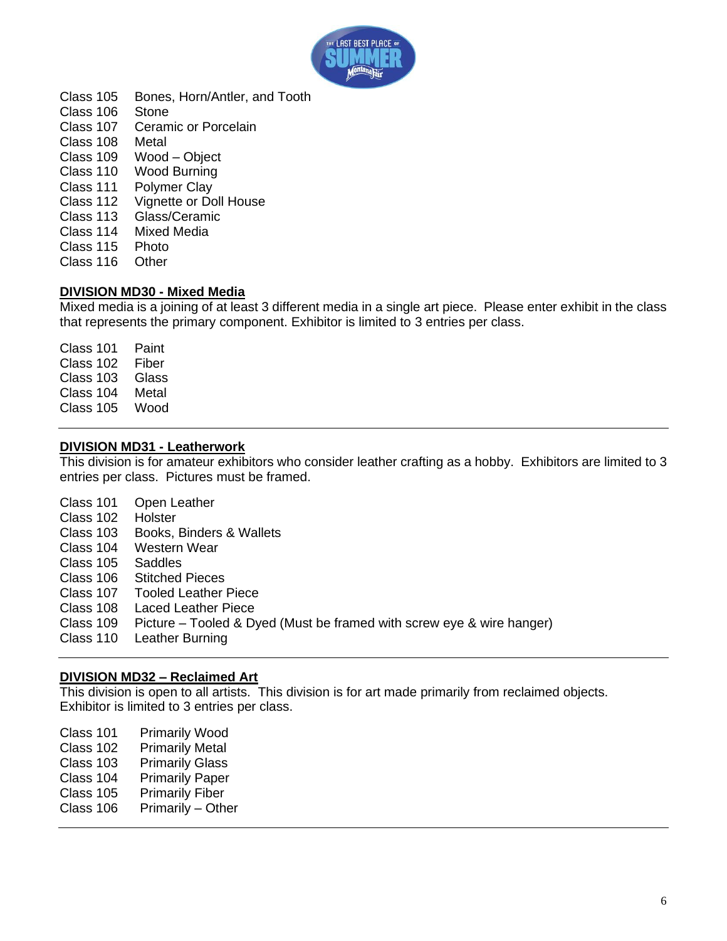

Class 105 Bones, Horn/Antler, and Tooth Class 106 Stone Class 107 Ceramic or Porcelain Class 108 Metal Class 109 Wood – Object Class 110 Wood Burning Class 111 Polymer Clay Class 112 Vignette or Doll House<br>Class 113 Glass/Ceramic Class 113 Glass/Ceramic<br>Class 114 Mixed Media **Mixed Media** Class 115 Photo Class 116 Other

### **DIVISION MD30 - Mixed Media**

Mixed media is a joining of at least 3 different media in a single art piece. Please enter exhibit in the class that represents the primary component. Exhibitor is limited to 3 entries per class.

Class 101 Paint Class 102 Fiber Class 103 Glass Class 104 Metal Class 105 Wood

### **DIVISION MD31 - Leatherwork**

This division is for amateur exhibitors who consider leather crafting as a hobby. Exhibitors are limited to 3 entries per class. Pictures must be framed.

| Class 101 | Open Leather                                                          |
|-----------|-----------------------------------------------------------------------|
| Class 102 | Holster                                                               |
| Class 103 | Books, Binders & Wallets                                              |
| Class 104 | Western Wear                                                          |
| Class 105 | Saddles                                                               |
| Class 106 | <b>Stitched Pieces</b>                                                |
| Class 107 | <b>Tooled Leather Piece</b>                                           |
| Class 108 | <b>Laced Leather Piece</b>                                            |
| Class 109 | Picture – Tooled & Dyed (Must be framed with screw eye & wire hanger) |
| Class 110 | Leather Burning                                                       |

### **DIVISION MD32 – Reclaimed Art**

This division is open to all artists. This division is for art made primarily from reclaimed objects. Exhibitor is limited to 3 entries per class.

| Class 101 | <b>Primarily Wood</b>  |
|-----------|------------------------|
| Class 102 | <b>Primarily Metal</b> |
| Class 103 | <b>Primarily Glass</b> |
| Class 104 | <b>Primarily Paper</b> |
| Class 105 | <b>Primarily Fiber</b> |
| Class 106 | Primarily - Other      |
|           |                        |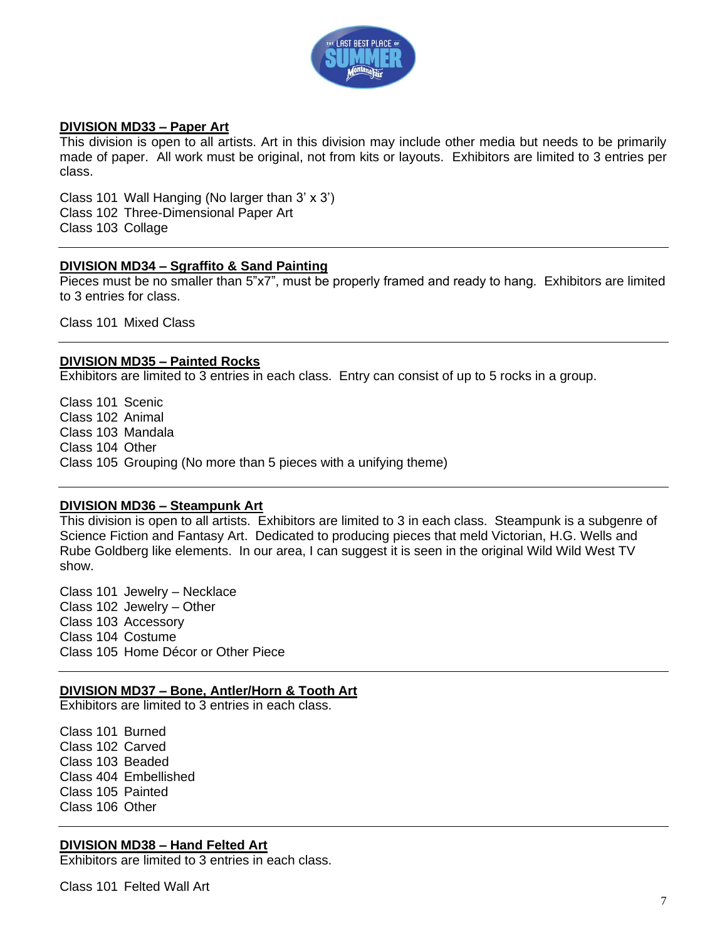

### **DIVISION MD33 – Paper Art**

This division is open to all artists. Art in this division may include other media but needs to be primarily made of paper. All work must be original, not from kits or layouts. Exhibitors are limited to 3 entries per class.

Class 101 Wall Hanging (No larger than 3' x 3') Class 102 Three-Dimensional Paper Art Class 103 Collage

### **DIVISION MD34 – Sgraffito & Sand Painting**

Pieces must be no smaller than 5"x7", must be properly framed and ready to hang. Exhibitors are limited to 3 entries for class.

Class 101 Mixed Class

### **DIVISION MD35 – Painted Rocks**

Exhibitors are limited to 3 entries in each class. Entry can consist of up to 5 rocks in a group.

Class 101 Scenic Class 102 Animal Class 103 Mandala Class 104 Other Class 105 Grouping (No more than 5 pieces with a unifying theme)

### **DIVISION MD36 – Steampunk Art**

This division is open to all artists. Exhibitors are limited to 3 in each class. Steampunk is a subgenre of Science Fiction and Fantasy Art. Dedicated to producing pieces that meld Victorian, H.G. Wells and Rube Goldberg like elements. In our area, I can suggest it is seen in the original Wild Wild West TV show.

Class 101 Jewelry – Necklace Class 102 Jewelry – Other Class 103 Accessory Class 104 Costume Class 105 Home Décor or Other Piece

### **DIVISION MD37 – Bone, Antler/Horn & Tooth Art**

Exhibitors are limited to 3 entries in each class.

Class 101 Burned Class 102 Carved Class 103 Beaded Class 404 Embellished Class 105 Painted Class 106 Other

### **DIVISION MD38 – Hand Felted Art**

Exhibitors are limited to 3 entries in each class.

Class 101 Felted Wall Art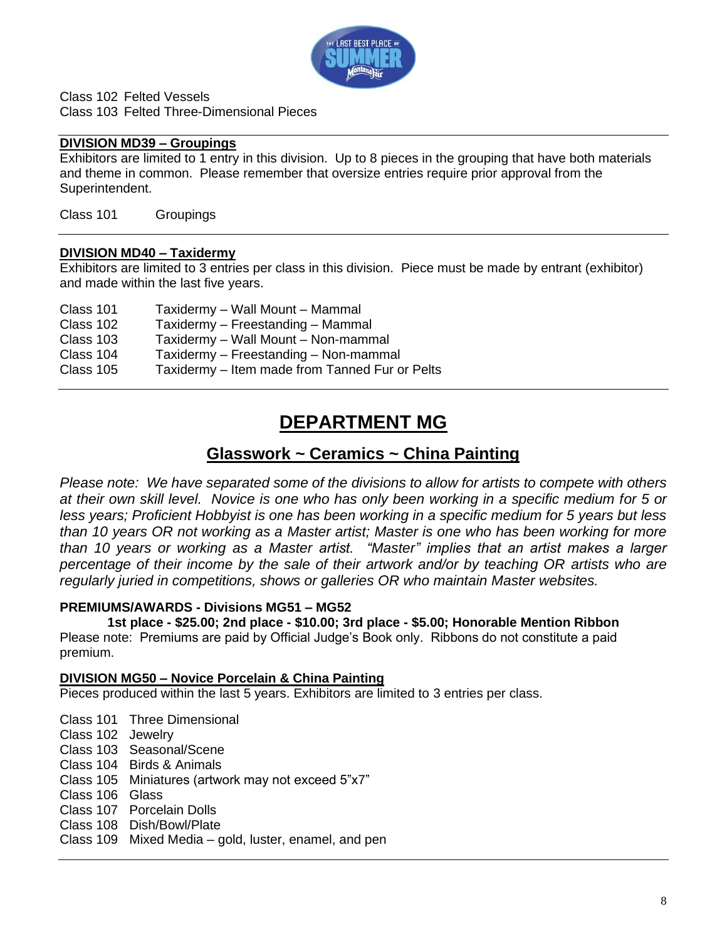

Class 102 Felted Vessels Class 103 Felted Three-Dimensional Pieces

### **DIVISION MD39 – Groupings**

Exhibitors are limited to 1 entry in this division. Up to 8 pieces in the grouping that have both materials and theme in common. Please remember that oversize entries require prior approval from the Superintendent.

Class 101 Groupings

### **DIVISION MD40 – Taxidermy**

Exhibitors are limited to 3 entries per class in this division. Piece must be made by entrant (exhibitor) and made within the last five years.

| Taxidermy - Wall Mount - Mammal                |
|------------------------------------------------|
| Taxidermy - Freestanding - Mammal              |
| Taxidermy - Wall Mount - Non-mammal            |
| Taxidermy - Freestanding - Non-mammal          |
| Taxidermy – Item made from Tanned Fur or Pelts |
|                                                |

# **DEPARTMENT MG**

### **Glasswork ~ Ceramics ~ China Painting**

*Please note: We have separated some of the divisions to allow for artists to compete with others at their own skill level. Novice is one who has only been working in a specific medium for 5 or less years; Proficient Hobbyist is one has been working in a specific medium for 5 years but less than 10 years OR not working as a Master artist; Master is one who has been working for more than 10 years or working as a Master artist. "Master" implies that an artist makes a larger percentage of their income by the sale of their artwork and/or by teaching OR artists who are regularly juried in competitions, shows or galleries OR who maintain Master websites.* 

### **PREMIUMS/AWARDS - Divisions MG51 – MG52**

**1st place - \$25.00; 2nd place - \$10.00; 3rd place - \$5.00; Honorable Mention Ribbon** Please note: Premiums are paid by Official Judge's Book only. Ribbons do not constitute a paid premium.

### **DIVISION MG50 – Novice Porcelain & China Painting**

Pieces produced within the last 5 years. Exhibitors are limited to 3 entries per class.

Class 101 Three Dimensional

- Class 102 Jewelry
- Class 103 Seasonal/Scene
- Class 104 Birds & Animals
- Class 105 Miniatures (artwork may not exceed 5"x7"
- Class 106 Glass
- Class 107 Porcelain Dolls
- Class 108 Dish/Bowl/Plate
- Class 109 Mixed Media gold, luster, enamel, and pen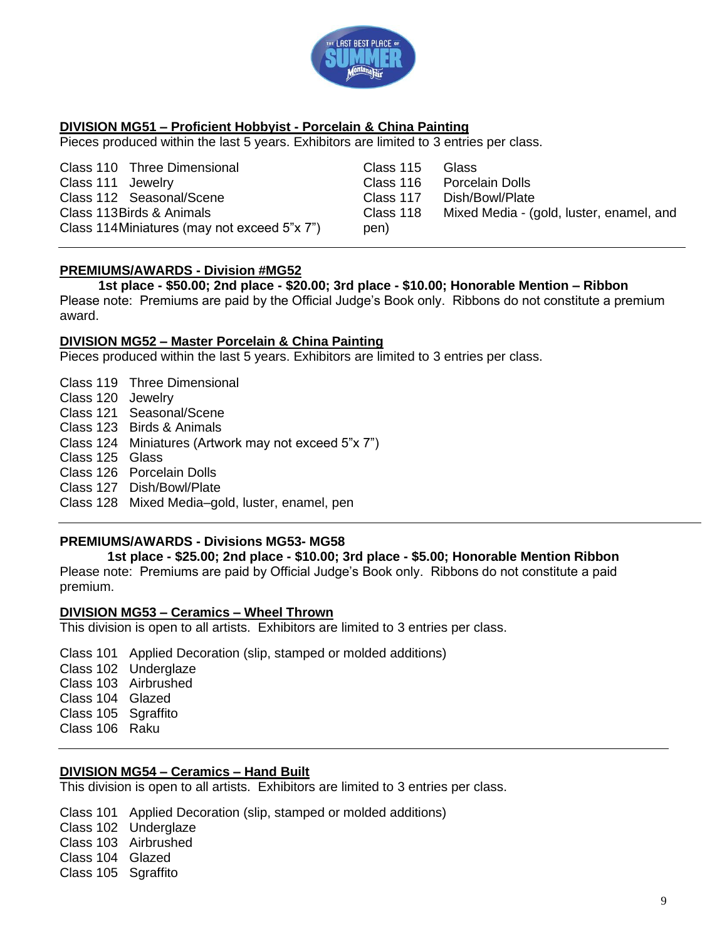

### **DIVISION MG51 – Proficient Hobbyist - Porcelain & China Painting**

Pieces produced within the last 5 years. Exhibitors are limited to 3 entries per class.

Class 110 Three Dimensional Class 111 Jewelry Class 112 Seasonal/Scene Class 113Birds & Animals Class 114Miniatures (may not exceed 5"x 7")

Class 115 Glass Class 116 Porcelain Dolls Class 117 Dish/Bowl/Plate Class 118 Mixed Media - (gold, luster, enamel, and pen)

### **PREMIUMS/AWARDS - Division #MG52**

**1st place - \$50.00; 2nd place - \$20.00; 3rd place - \$10.00; Honorable Mention – Ribbon** Please note: Premiums are paid by the Official Judge's Book only. Ribbons do not constitute a premium award.

### **DIVISION MG52 – Master Porcelain & China Painting**

Pieces produced within the last 5 years. Exhibitors are limited to 3 entries per class.

- Class 119 Three Dimensional
- Class 120 Jewelry
- Class 121 Seasonal/Scene
- Class 123 Birds & Animals
- Class 124 Miniatures (Artwork may not exceed 5"x 7")
- Class 125 Glass
- Class 126 Porcelain Dolls
- Class 127 Dish/Bowl/Plate
- Class 128 Mixed Media–gold, luster, enamel, pen

### **PREMIUMS/AWARDS - Divisions MG53- MG58**

**1st place - \$25.00; 2nd place - \$10.00; 3rd place - \$5.00; Honorable Mention Ribbon** Please note: Premiums are paid by Official Judge's Book only. Ribbons do not constitute a paid premium.

### **DIVISION MG53 – Ceramics – Wheel Thrown**

This division is open to all artists. Exhibitors are limited to 3 entries per class.

- Class 101 Applied Decoration (slip, stamped or molded additions)
- Class 102 Underglaze
- Class 103 Airbrushed
- Class 104 Glazed
- Class 105 Sgraffito
- Class 106 Raku

### **DIVISION MG54 – Ceramics – Hand Built**

This division is open to all artists. Exhibitors are limited to 3 entries per class.

Class 101 Applied Decoration (slip, stamped or molded additions)

- Class 102 Underglaze
- Class 103 Airbrushed
- Class 104 Glazed
- Class 105 Sgraffito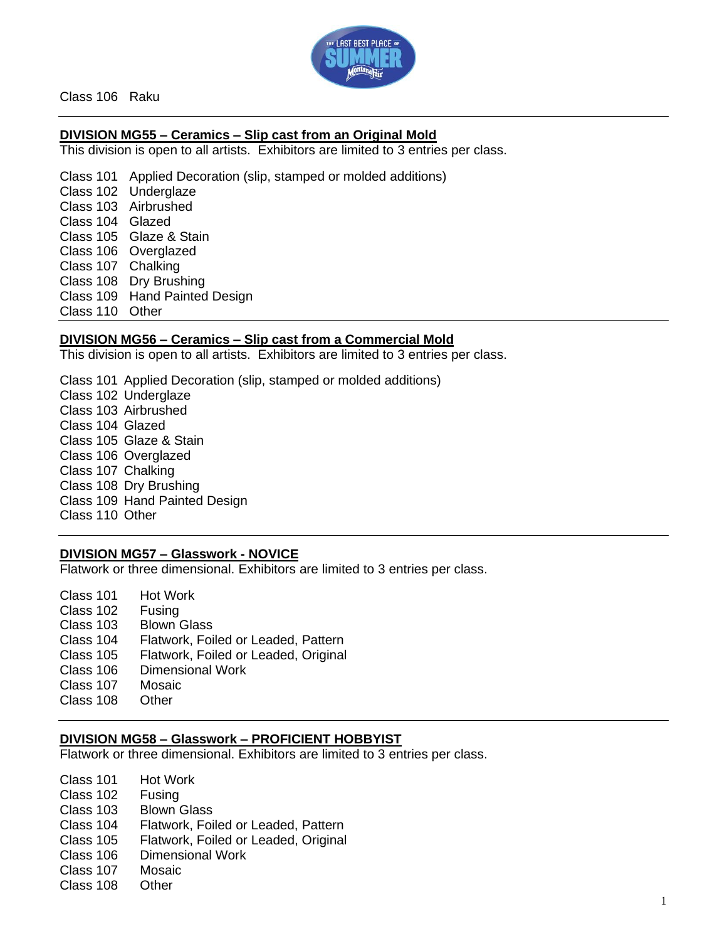

Class 106 Raku

### **DIVISION MG55 – Ceramics – Slip cast from an Original Mold**

This division is open to all artists. Exhibitors are limited to 3 entries per class.

Class 101 Applied Decoration (slip, stamped or molded additions) Class 102 Underglaze Class 103 Airbrushed Class 104 Glazed Class 105 Glaze & Stain Class 106 Overglazed Class 107 Chalking Class 108 Dry Brushing Class 109 Hand Painted Design Class 110 Other

#### **DIVISION MG56 – Ceramics – Slip cast from a Commercial Mold**

This division is open to all artists. Exhibitors are limited to 3 entries per class.

Class 101 Applied Decoration (slip, stamped or molded additions) Class 102 Underglaze Class 103 Airbrushed Class 104 Glazed Class 105 Glaze & Stain Class 106 Overglazed Class 107 Chalking Class 108 Dry Brushing Class 109 Hand Painted Design Class 110 Other

### **DIVISION MG57 – Glasswork - NOVICE**

Flatwork or three dimensional. Exhibitors are limited to 3 entries per class.

| Flatwork, Foiled or Leaded, Pattern  |
|--------------------------------------|
| Flatwork, Foiled or Leaded, Original |
|                                      |
|                                      |
|                                      |
|                                      |

#### **DIVISION MG58 – Glasswork – PROFICIENT HOBBYIST**

Flatwork or three dimensional. Exhibitors are limited to 3 entries per class.

- Class 101 Hot Work Class 102 Fusing Class 103 Blown Glass Class 104 Flatwork, Foiled or Leaded, Pattern Class 105 Flatwork, Foiled or Leaded, Original Class 106 Dimensional Work Class 107 Mosaic
- Class 108 Other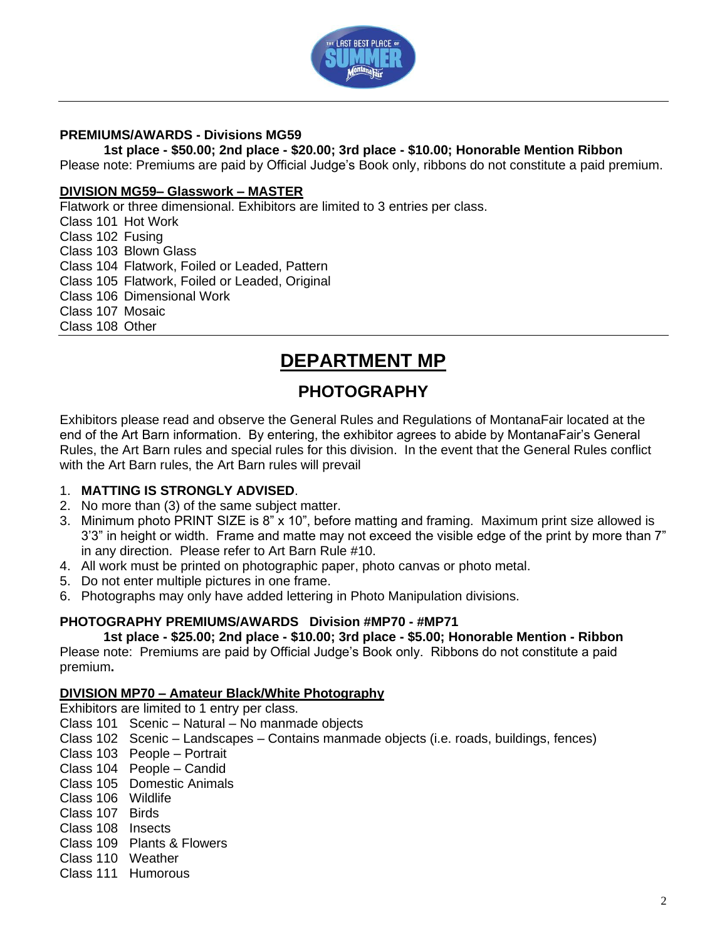

### **PREMIUMS/AWARDS - Divisions MG59**

### **1st place - \$50.00; 2nd place - \$20.00; 3rd place - \$10.00; Honorable Mention Ribbon**

Please note: Premiums are paid by Official Judge's Book only, ribbons do not constitute a paid premium.

### **DIVISION MG59– Glasswork – MASTER**

Flatwork or three dimensional. Exhibitors are limited to 3 entries per class. Class 101 Hot Work Class 102 Fusing Class 103 Blown Glass Class 104 Flatwork, Foiled or Leaded, Pattern Class 105 Flatwork, Foiled or Leaded, Original Class 106 Dimensional Work Class 107 Mosaic Class 108 Other

# **DEPARTMENT MP**

# **PHOTOGRAPHY**

Exhibitors please read and observe the General Rules and Regulations of MontanaFair located at the end of the Art Barn information. By entering, the exhibitor agrees to abide by MontanaFair's General Rules, the Art Barn rules and special rules for this division. In the event that the General Rules conflict with the Art Barn rules, the Art Barn rules will prevail

### 1. **MATTING IS STRONGLY ADVISED**.

- 2. No more than (3) of the same subject matter.
- 3. Minimum photo PRINT SIZE is 8" x 10", before matting and framing. Maximum print size allowed is 3'3" in height or width. Frame and matte may not exceed the visible edge of the print by more than 7" in any direction. Please refer to Art Barn Rule #10.
- 4. All work must be printed on photographic paper, photo canvas or photo metal.
- 5. Do not enter multiple pictures in one frame.
- 6. Photographs may only have added lettering in Photo Manipulation divisions.

### **PHOTOGRAPHY PREMIUMS/AWARDS Division #MP70 - #MP71**

### **1st place - \$25.00; 2nd place - \$10.00; 3rd place - \$5.00; Honorable Mention - Ribbon**

Please note: Premiums are paid by Official Judge's Book only. Ribbons do not constitute a paid premium**.**

### **DIVISION MP70 – Amateur Black/White Photography**

Exhibitors are limited to 1 entry per class.

- Class 101 Scenic Natural No manmade objects
- Class 102 Scenic Landscapes Contains manmade objects (i.e. roads, buildings, fences)
- Class 103 People Portrait
- Class 104 People Candid
- Class 105 Domestic Animals
- Class 106 Wildlife
- Class 107 Birds
- Class 108 Insects
- Class 109 Plants & Flowers
- Class 110 Weather
- Class 111 Humorous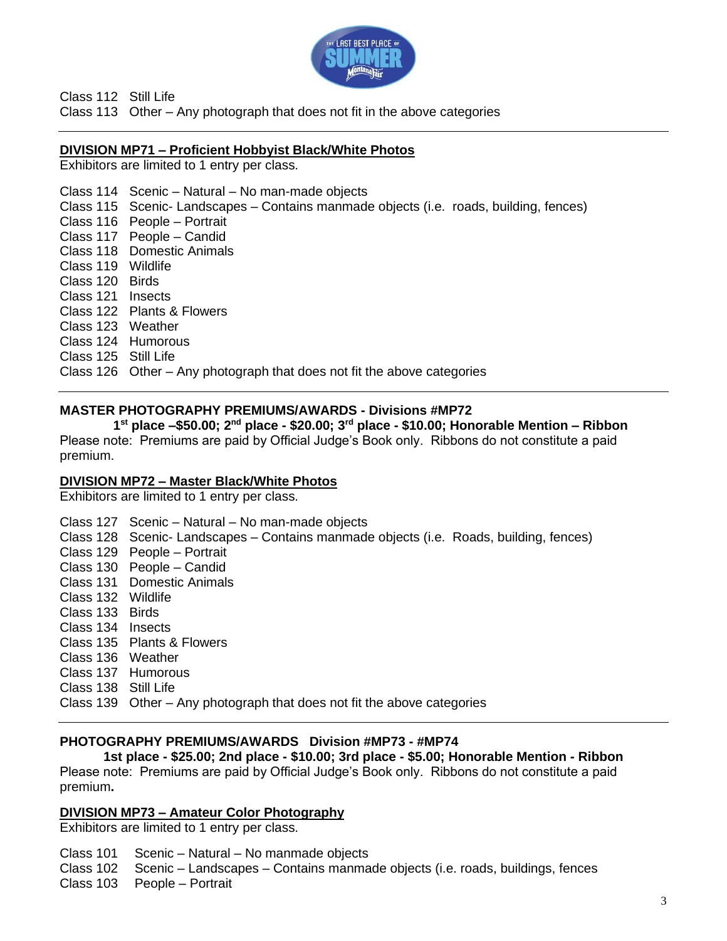

Class 112 Still Life

Class 113 Other – Any photograph that does not fit in the above categories

### **DIVISION MP71 – Proficient Hobbyist Black/White Photos**

Exhibitors are limited to 1 entry per class.

### Class 114 Scenic – Natural – No man-made objects Class 115 Scenic- Landscapes – Contains manmade objects (i.e. roads, building, fences) Class 116 People – Portrait Class 117 People – Candid Class 118 Domestic Animals Class 119 Wildlife Class 120 Birds Class 121 Insects Class 122 Plants & Flowers Class 123 Weather Class 124 Humorous Class 125 Still Life

Class 126 Other – Any photograph that does not fit the above categories

### **MASTER PHOTOGRAPHY PREMIUMS/AWARDS - Divisions #MP72**

**1 st place –\$50.00; 2nd place - \$20.00; 3rd place - \$10.00; Honorable Mention – Ribbon** Please note: Premiums are paid by Official Judge's Book only. Ribbons do not constitute a paid premium.

### **DIVISION MP72 – Master Black/White Photos**

Exhibitors are limited to 1 entry per class.

Class 127 Scenic – Natural – No man-made objects

Class 128 Scenic- Landscapes – Contains manmade objects (i.e. Roads, building, fences)

- Class 129 People Portrait
- Class 130 People Candid
- Class 131 Domestic Animals
- Class 132 Wildlife
- Class 133 Birds
- Class 134 Insects
- Class 135 Plants & Flowers
- Class 136 Weather
- Class 137 Humorous
- Class 138 Still Life

Class 139 Other – Any photograph that does not fit the above categories

### **PHOTOGRAPHY PREMIUMS/AWARDS Division #MP73 - #MP74**

**1st place - \$25.00; 2nd place - \$10.00; 3rd place - \$5.00; Honorable Mention - Ribbon** Please note: Premiums are paid by Official Judge's Book only. Ribbons do not constitute a paid premium**.**

### **DIVISION MP73 – Amateur Color Photography**

Exhibitors are limited to 1 entry per class.

- Class 101 Scenic Natural No manmade objects
- Class 102 Scenic Landscapes Contains manmade objects (i.e. roads, buildings, fences
- Class 103 People Portrait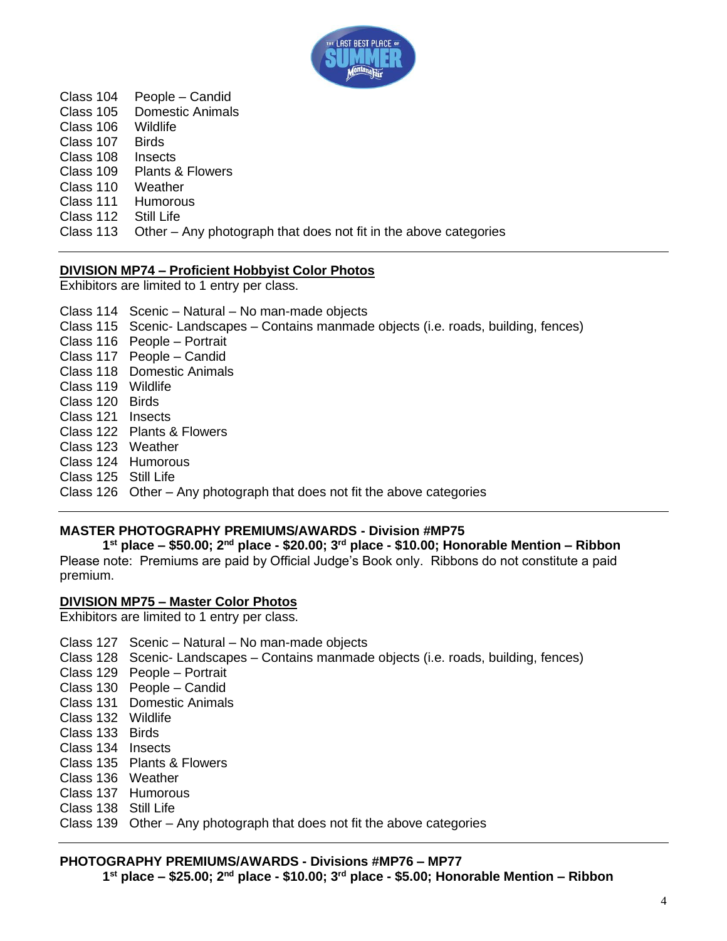

Class 104 People – Candid Class 105 Domestic Animals Class 106 Wildlife Class 107 Birds Class 108 Insects Class 109 Plants & Flowers Class 110 Weather Class 111 Humorous Class 112 Still Life Class 113 Other – Any photograph that does not fit in the above categories

### **DIVISION MP74 – Proficient Hobbyist Color Photos**

Exhibitors are limited to 1 entry per class.

Class 114 Scenic – Natural – No man-made objects Class 115 Scenic- Landscapes – Contains manmade objects (i.e. roads, building, fences) Class 116 People – Portrait Class 117 People – Candid Class 118 Domestic Animals Class 119 Wildlife Class 120 Birds Class 121 Insects Class 122 Plants & Flowers Class 123 Weather Class 124 Humorous Class 125 Still Life

### Class 126 Other – Any photograph that does not fit the above categories

### **MASTER PHOTOGRAPHY PREMIUMS/AWARDS - Division #MP75**

**1 st place – \$50.00; 2nd place - \$20.00; 3rd place - \$10.00; Honorable Mention – Ribbon** Please note: Premiums are paid by Official Judge's Book only. Ribbons do not constitute a paid premium.

### **DIVISION MP75 – Master Color Photos**

Exhibitors are limited to 1 entry per class.

- Class 127 Scenic Natural No man-made objects
- Class 128 Scenic- Landscapes Contains manmade objects (i.e. roads, building, fences)
- Class 129 People Portrait
- Class 130 People Candid
- Class 131 Domestic Animals
- Class 132 Wildlife
- Class 133 Birds
- Class 134 Insects
- Class 135 Plants & Flowers
- Class 136 Weather
- Class 137 Humorous
- Class 138 Still Life
- Class 139 Other Any photograph that does not fit the above categories

### **PHOTOGRAPHY PREMIUMS/AWARDS - Divisions #MP76 – MP77**

**1 st place – \$25.00; 2nd place - \$10.00; 3rd place - \$5.00; Honorable Mention – Ribbon**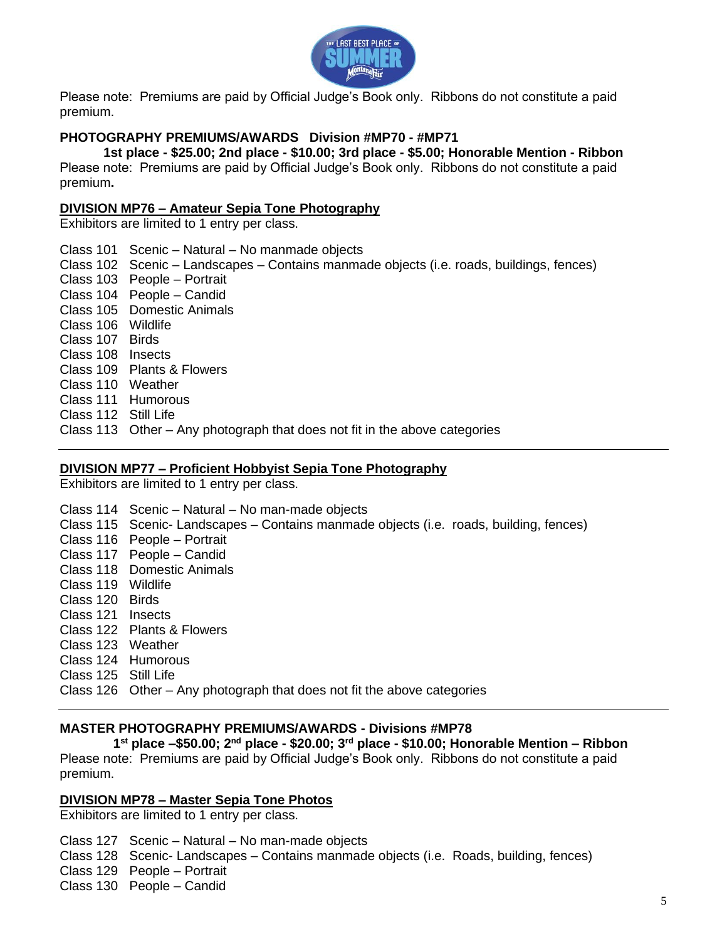

Please note: Premiums are paid by Official Judge's Book only. Ribbons do not constitute a paid premium.

### **PHOTOGRAPHY PREMIUMS/AWARDS Division #MP70 - #MP71**

**1st place - \$25.00; 2nd place - \$10.00; 3rd place - \$5.00; Honorable Mention - Ribbon** Please note: Premiums are paid by Official Judge's Book only. Ribbons do not constitute a paid premium**.**

### **DIVISION MP76 – Amateur Sepia Tone Photography**

Exhibitors are limited to 1 entry per class.

Class 101 Scenic – Natural – No manmade objects Class 102 Scenic – Landscapes – Contains manmade objects (i.e. roads, buildings, fences) Class 103 People – Portrait Class 104 People – Candid Class 105 Domestic Animals Class 106 Wildlife Class 107 Birds Class 108 Insects Class 109 Plants & Flowers Class 110 Weather Class 111 Humorous Class 112 Still Life Class 113 Other – Any photograph that does not fit in the above categories

#### **DIVISION MP77 – Proficient Hobbyist Sepia Tone Photography**

Exhibitors are limited to 1 entry per class.

Class 114 Scenic – Natural – No man-made objects Class 115 Scenic- Landscapes – Contains manmade objects (i.e. roads, building, fences) Class 116 People – Portrait Class 117 People – Candid Class 118 Domestic Animals Class 119 Wildlife Class 120 Birds Class 121 Insects Class 122 Plants & Flowers Class 123 Weather Class 124 Humorous Class 125 Still Life Class 126 Other – Any photograph that does not fit the above categories

### **MASTER PHOTOGRAPHY PREMIUMS/AWARDS - Divisions #MP78**

**1 st place –\$50.00; 2nd place - \$20.00; 3rd place - \$10.00; Honorable Mention – Ribbon**

Please note: Premiums are paid by Official Judge's Book only. Ribbons do not constitute a paid premium.

#### **DIVISION MP78 – Master Sepia Tone Photos**

Exhibitors are limited to 1 entry per class.

Class 127 Scenic – Natural – No man-made objects

Class 128 Scenic- Landscapes – Contains manmade objects (i.e. Roads, building, fences)

Class 129 People – Portrait

Class 130 People – Candid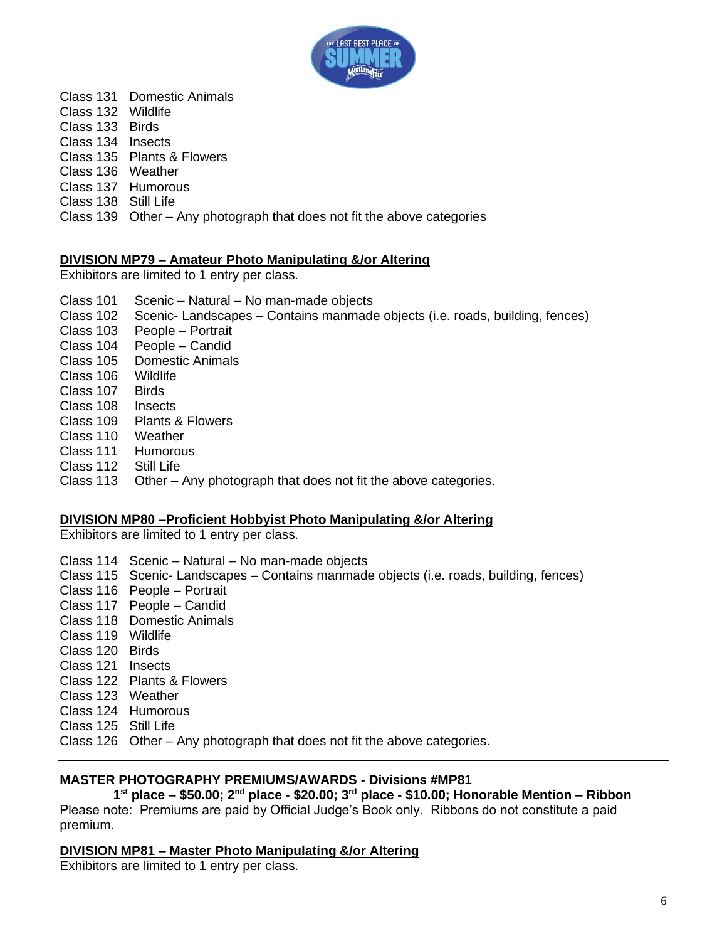

Class 131 Domestic Animals Class 132 Wildlife Class 133 Birds Class 134 Insects Class 135 Plants & Flowers Class 136 Weather Class 137 Humorous Class 138 Still Life Class 139 Other – Any photograph that does not fit the above categories

### **DIVISION MP79 – Amateur Photo Manipulating &/or Altering**

Exhibitors are limited to 1 entry per class.

| Scenic - Natural - No man-made objects                                      |
|-----------------------------------------------------------------------------|
| Scenic-Landscapes – Contains manmade objects (i.e. roads, building, fences) |
| People – Portrait                                                           |
| People - Candid                                                             |
| <b>Domestic Animals</b>                                                     |
| Wildlife                                                                    |
| <b>Birds</b>                                                                |
| Insects                                                                     |
| Plants & Flowers                                                            |
| Weather                                                                     |
| <b>Humorous</b>                                                             |
| Still Life                                                                  |
| Other – Any photograph that does not fit the above categories.              |
|                                                                             |

### **DIVISION MP80 –Proficient Hobbyist Photo Manipulating &/or Altering**

Exhibitors are limited to 1 entry per class.

- Class 114 Scenic Natural No man-made objects
- Class 115 Scenic- Landscapes Contains manmade objects (i.e. roads, building, fences)
- Class 116 People Portrait
- Class 117 People Candid
- Class 118 Domestic Animals
- Class 119 Wildlife
- Class 120 Birds
- Class 121 Insects
- Class 122 Plants & Flowers
- Class 123 Weather
- Class 124 Humorous
- Class 125 Still Life

Class 126 Other – Any photograph that does not fit the above categories.

### **MASTER PHOTOGRAPHY PREMIUMS/AWARDS - Divisions #MP81**

**1 st place – \$50.00; 2nd place - \$20.00; 3rd place - \$10.00; Honorable Mention – Ribbon** Please note: Premiums are paid by Official Judge's Book only. Ribbons do not constitute a paid premium.

### **DIVISION MP81 – Master Photo Manipulating &/or Altering**

Exhibitors are limited to 1 entry per class.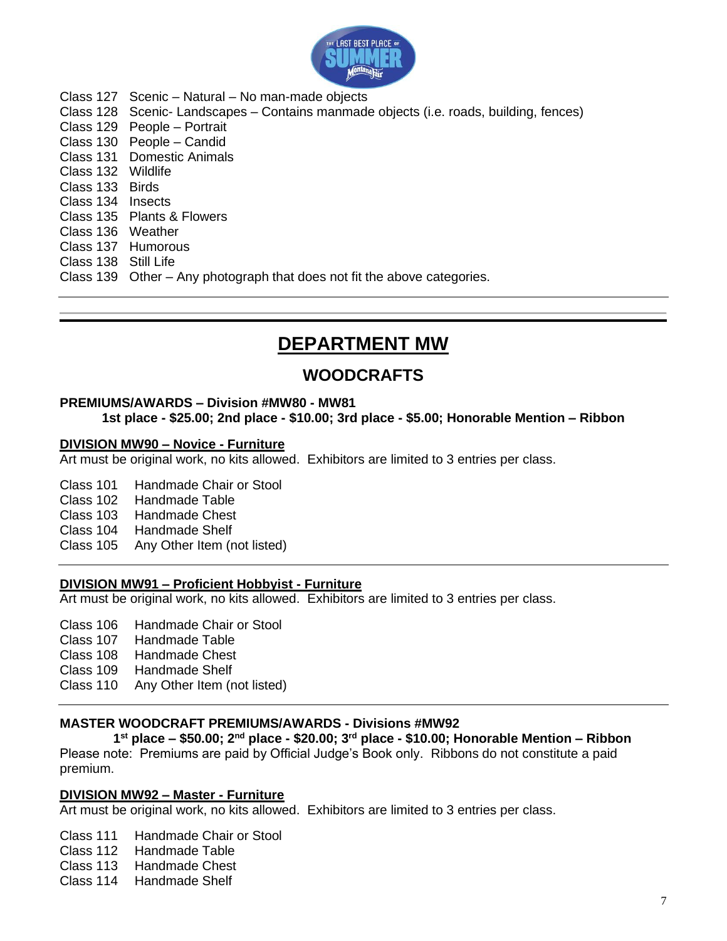

- Class 127 Scenic Natural No man-made objects
- Class 128 Scenic- Landscapes Contains manmade objects (i.e. roads, building, fences)
- Class 129 People Portrait Class 130 People – Candid
- Class 131 Domestic Animals
- Class 132 Wildlife
- Class 133 Birds
- Class 134 Insects
- Class 135 Plants & Flowers Class 136 Weather
- Class 137 Humorous
- Class 138 Still Life
- 
- Class 139 Other Any photograph that does not fit the above categories.

# **DEPARTMENT MW**

## **WOODCRAFTS**

### **PREMIUMS/AWARDS – Division #MW80 - MW81**

**1st place - \$25.00; 2nd place - \$10.00; 3rd place - \$5.00; Honorable Mention – Ribbon**

### **DIVISION MW90 – Novice - Furniture**

Art must be original work, no kits allowed. Exhibitors are limited to 3 entries per class.

- Class 101 Handmade Chair or Stool
- Class 102 Handmade Table
- Class 103 Handmade Chest
- Class 104 Handmade Shelf
- Class 105 Any Other Item (not listed)

### **DIVISION MW91 – Proficient Hobbyist - Furniture**

Art must be original work, no kits allowed. Exhibitors are limited to 3 entries per class.

- Class 106 Handmade Chair or Stool
- Class 107 Handmade Table
- Class 108 Handmade Chest
- Class 109 Handmade Shelf
- Class 110 Any Other Item (not listed)

### **MASTER WOODCRAFT PREMIUMS/AWARDS - Divisions #MW92**

**1 st place – \$50.00; 2nd place - \$20.00; 3rd place - \$10.00; Honorable Mention – Ribbon** Please note: Premiums are paid by Official Judge's Book only. Ribbons do not constitute a paid premium.

### **DIVISION MW92 – Master - Furniture**

Art must be original work, no kits allowed. Exhibitors are limited to 3 entries per class.

Class 111 Handmade Chair or Stool

- Class 112 Handmade Table
- Class 113 Handmade Chest
- Class 114 Handmade Shelf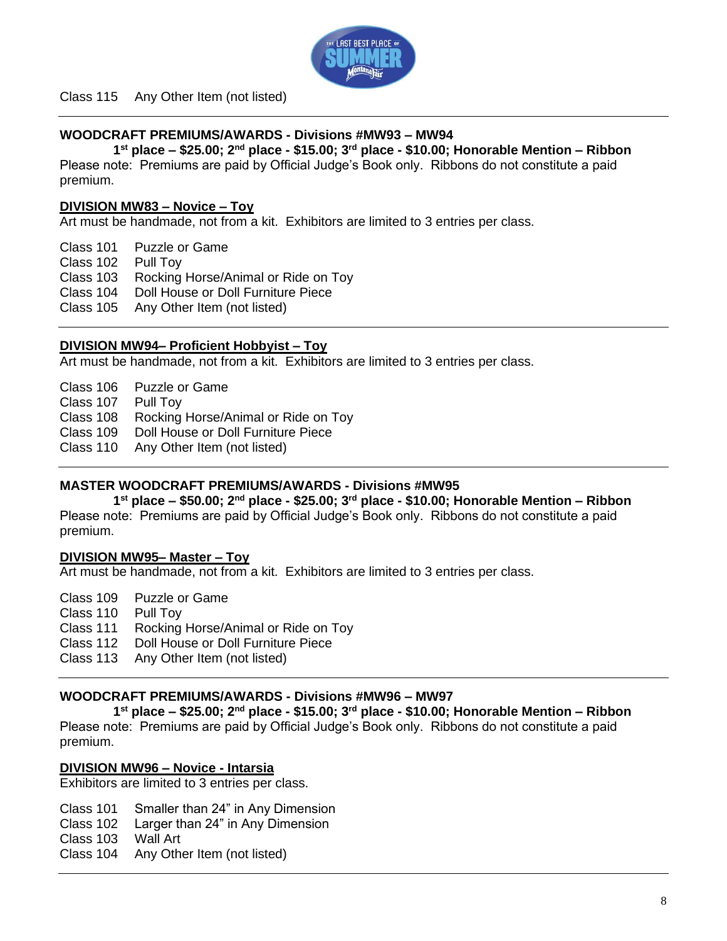

Class 115 Any Other Item (not listed)

### **WOODCRAFT PREMIUMS/AWARDS - Divisions #MW93 – MW94**

**1 st place – \$25.00; 2nd place - \$15.00; 3rd place - \$10.00; Honorable Mention – Ribbon** Please note: Premiums are paid by Official Judge's Book only. Ribbons do not constitute a paid premium.

### **DIVISION MW83 – Novice – Toy**

Art must be handmade, not from a kit. Exhibitors are limited to 3 entries per class.

Class 101 Puzzle or Game

Class 102 Pull Toy

Class 103 Rocking Horse/Animal or Ride on Toy

- Class 104 Doll House or Doll Furniture Piece
- Class 105 Any Other Item (not listed)

### **DIVISION MW94– Proficient Hobbyist – Toy**

Art must be handmade, not from a kit. Exhibitors are limited to 3 entries per class.

- Class 106 Puzzle or Game
- Class 107 Pull Toy

Class 108 Rocking Horse/Animal or Ride on Toy

Class 109 Doll House or Doll Furniture Piece

Class 110 Any Other Item (not listed)

### **MASTER WOODCRAFT PREMIUMS/AWARDS - Divisions #MW95**

**1 st place – \$50.00; 2nd place - \$25.00; 3rd place - \$10.00; Honorable Mention – Ribbon** Please note: Premiums are paid by Official Judge's Book only. Ribbons do not constitute a paid premium.

### **DIVISION MW95– Master – Toy**

Art must be handmade, not from a kit. Exhibitors are limited to 3 entries per class.

- Class 109 Puzzle or Game
- Class 110 Pull Toy
- Class 111 Rocking Horse/Animal or Ride on Toy
- Class 112 Doll House or Doll Furniture Piece
- Class 113 Any Other Item (not listed)

### **WOODCRAFT PREMIUMS/AWARDS - Divisions #MW96 – MW97**

**1 st place – \$25.00; 2nd place - \$15.00; 3rd place - \$10.00; Honorable Mention – Ribbon** Please note: Premiums are paid by Official Judge's Book only. Ribbons do not constitute a paid premium.

### **DIVISION MW96 – Novice - Intarsia**

Exhibitors are limited to 3 entries per class.

- Class 101 Smaller than 24" in Any Dimension
- Class 102 Larger than 24" in Any Dimension
- Class 103 Wall Art
- Class 104 Any Other Item (not listed)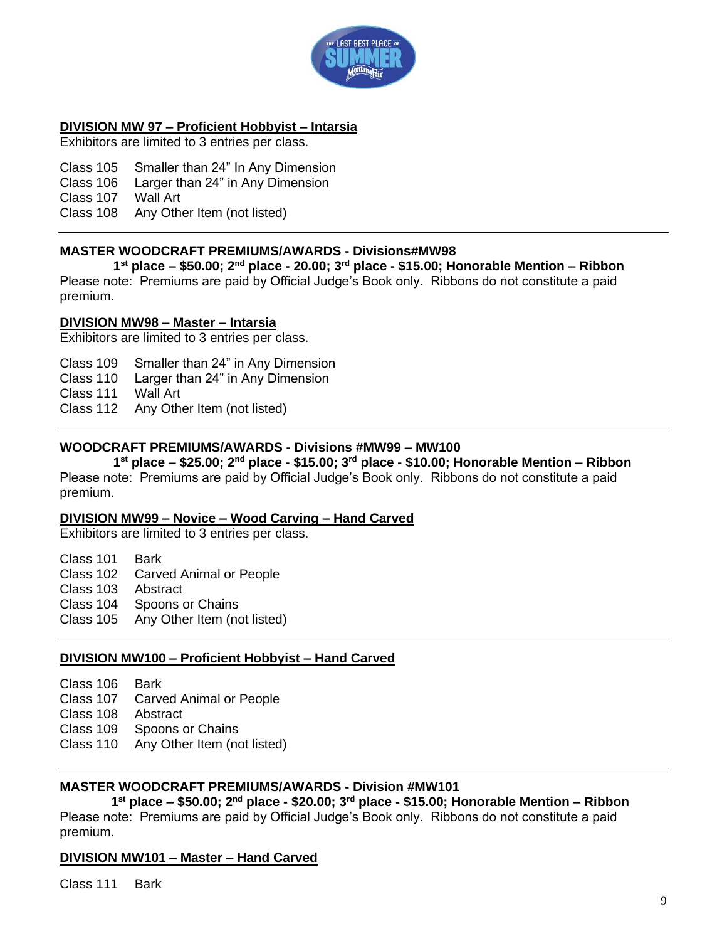

### **DIVISION MW 97 – Proficient Hobbyist – Intarsia**

Exhibitors are limited to 3 entries per class.

Class 105 Smaller than 24" In Any Dimension Class 106 Larger than 24" in Any Dimension

Class 107 Wall Art

Class 108 Any Other Item (not listed)

### **MASTER WOODCRAFT PREMIUMS/AWARDS - Divisions#MW98**

**1 st place – \$50.00; 2nd place - 20.00; 3rd place - \$15.00; Honorable Mention – Ribbon** Please note: Premiums are paid by Official Judge's Book only. Ribbons do not constitute a paid premium.

### **DIVISION MW98 – Master – Intarsia**

Exhibitors are limited to 3 entries per class.

Class 109 Smaller than 24" in Any Dimension

Class 110 Larger than 24" in Any Dimension

Class 111 Wall Art

Class 112 Any Other Item (not listed)

### **WOODCRAFT PREMIUMS/AWARDS - Divisions #MW99 – MW100**

**1 st place – \$25.00; 2nd place - \$15.00; 3rd place - \$10.00; Honorable Mention – Ribbon** Please note: Premiums are paid by Official Judge's Book only. Ribbons do not constitute a paid premium.

### **DIVISION MW99 – Novice – Wood Carving – Hand Carved**

Exhibitors are limited to 3 entries per class.

Class 101 Bark Class 102 Carved Animal or People Class 103 Abstract Class 104 Spoons or Chains Class 105 Any Other Item (not listed)

### **DIVISION MW100 – Proficient Hobbyist – Hand Carved**

Class 106 Bark

Class 107 Carved Animal or People

Class 108 Abstract

Class 109 Spoons or Chains

Class 110 Any Other Item (not listed)

### **MASTER WOODCRAFT PREMIUMS/AWARDS - Division #MW101**

**1 st place – \$50.00; 2nd place - \$20.00; 3rd place - \$15.00; Honorable Mention – Ribbon** Please note: Premiums are paid by Official Judge's Book only. Ribbons do not constitute a paid premium.

### **DIVISION MW101 – Master – Hand Carved**

Class 111 Bark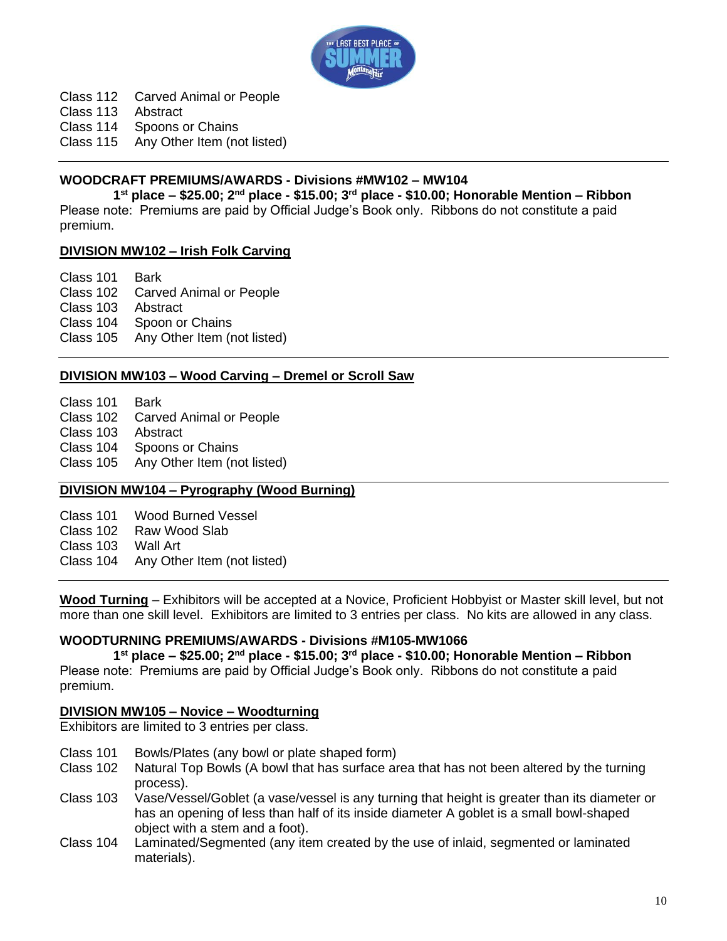

Class 112 Carved Animal or People

Class 113 Abstract

Class 114 Spoons or Chains

Class 115 Any Other Item (not listed)

### **WOODCRAFT PREMIUMS/AWARDS - Divisions #MW102 – MW104**

**1 st place – \$25.00; 2nd place - \$15.00; 3rd place - \$10.00; Honorable Mention – Ribbon** Please note: Premiums are paid by Official Judge's Book only. Ribbons do not constitute a paid premium.

### **DIVISION MW102 – Irish Folk Carving**

Class 101 Bark Class 102 Carved Animal or People Class 103 Abstract Class 104 Spoon or Chains Class 105 Any Other Item (not listed)

### **DIVISION MW103 – Wood Carving – Dremel or Scroll Saw**

Class 101 Bark<br>Class 102 Carve **Carved Animal or People** Class 103 Abstract Class 104 Spoons or Chains Class 105 Any Other Item (not listed)

### **DIVISION MW104 – Pyrography (Wood Burning)**

Class 101 Wood Burned Vessel Class 102 Raw Wood Slab Class 103 Wall Art Class 104 Any Other Item (not listed)

**Wood Turning** – Exhibitors will be accepted at a Novice, Proficient Hobbyist or Master skill level, but not more than one skill level. Exhibitors are limited to 3 entries per class. No kits are allowed in any class.

### **WOODTURNING PREMIUMS/AWARDS - Divisions #M105-MW1066**

**1 st place – \$25.00; 2nd place - \$15.00; 3rd place - \$10.00; Honorable Mention – Ribbon** Please note: Premiums are paid by Official Judge's Book only. Ribbons do not constitute a paid premium.

### **DIVISION MW105 – Novice – Woodturning**

Exhibitors are limited to 3 entries per class.

- Class 101 Bowls/Plates (any bowl or plate shaped form)
- Class 102 Natural Top Bowls (A bowl that has surface area that has not been altered by the turning process).
- Class 103 Vase/Vessel/Goblet (a vase/vessel is any turning that height is greater than its diameter or has an opening of less than half of its inside diameter A goblet is a small bowl-shaped object with a stem and a foot).
- Class 104 Laminated/Segmented (any item created by the use of inlaid, segmented or laminated materials).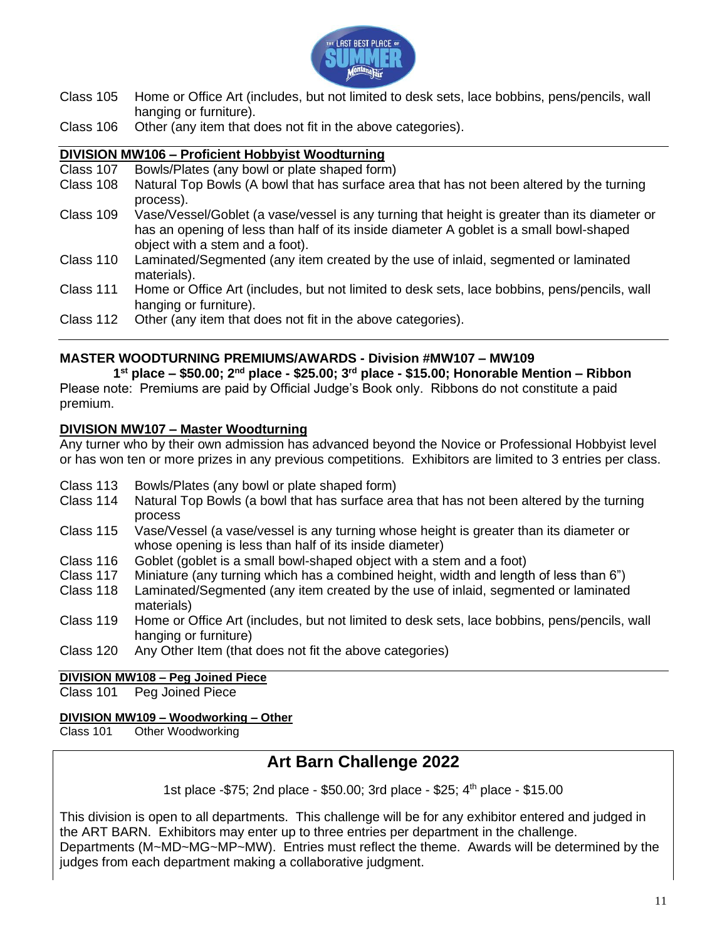

- Class 105 Home or Office Art (includes, but not limited to desk sets, lace bobbins, pens/pencils, wall hanging or furniture).
- Class 106 Other (any item that does not fit in the above categories).

### **DIVISION MW106 – Proficient Hobbyist Woodturning**

- Class 107 Bowls/Plates (any bowl or plate shaped form) Class 108 Natural Top Bowls (A bowl that has surface area that has not been altered by the turning process).
- Class 109 Vase/Vessel/Goblet (a vase/vessel is any turning that height is greater than its diameter or has an opening of less than half of its inside diameter A goblet is a small bowl-shaped object with a stem and a foot).
- Class 110 Laminated/Segmented (any item created by the use of inlaid, segmented or laminated materials).
- Class 111 Home or Office Art (includes, but not limited to desk sets, lace bobbins, pens/pencils, wall hanging or furniture).
- Class 112 Other (any item that does not fit in the above categories).

### **MASTER WOODTURNING PREMIUMS/AWARDS - Division #MW107 – MW109**

**1 st place – \$50.00; 2nd place - \$25.00; 3rd place - \$15.00; Honorable Mention – Ribbon** Please note: Premiums are paid by Official Judge's Book only. Ribbons do not constitute a paid

### **DIVISION MW107 – Master Woodturning**

premium.

Any turner who by their own admission has advanced beyond the Novice or Professional Hobbyist level or has won ten or more prizes in any previous competitions. Exhibitors are limited to 3 entries per class.

- Class 113 Bowls/Plates (any bowl or plate shaped form)
- Class 114 Natural Top Bowls (a bowl that has surface area that has not been altered by the turning process
- Class 115 Vase/Vessel (a vase/vessel is any turning whose height is greater than its diameter or whose opening is less than half of its inside diameter)
- Class 116 Goblet (goblet is a small bowl-shaped object with a stem and a foot)<br>Class 117 Miniature (any turning which has a combined height, width and lengtl
- Miniature (any turning which has a combined height, width and length of less than 6")
- Class 118 Laminated/Segmented (any item created by the use of inlaid, segmented or laminated materials)
- Class 119 Home or Office Art (includes, but not limited to desk sets, lace bobbins, pens/pencils, wall hanging or furniture)
- Class 120 Any Other Item (that does not fit the above categories)

### **DIVISION MW108 – Peg Joined Piece**

Class 101 Peg Joined Piece

### **DIVISION MW109 – Woodworking – Other**

Class 101 Other Woodworking

## **Art Barn Challenge 2022**

1st place -\$75; 2nd place - \$50.00; 3rd place - \$25; 4<sup>th</sup> place - \$15.00

This division is open to all departments. This challenge will be for any exhibitor entered and judged in the ART BARN. Exhibitors may enter up to three entries per department in the challenge. Departments (M~MD~MG~MP~MW). Entries must reflect the theme. Awards will be determined by the judges from each department making a collaborative judgment.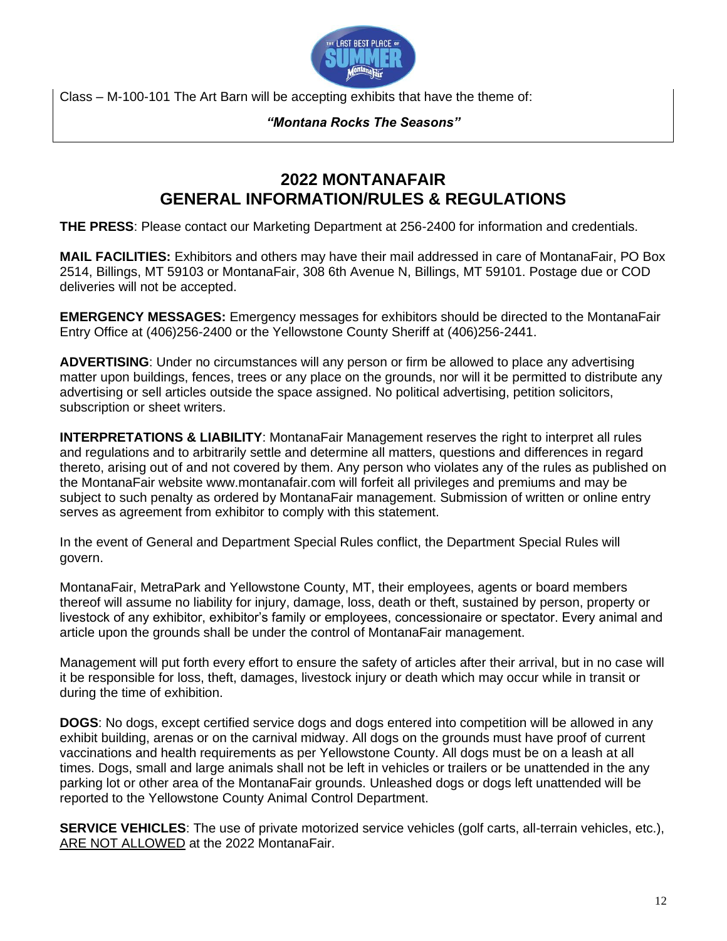

Class – M-100-101 The Art Barn will be accepting exhibits that have the theme of:

### *"Montana Rocks The Seasons"*

### **2022 MONTANAFAIR GENERAL INFORMATION/RULES & REGULATIONS**

**THE PRESS**: Please contact our Marketing Department at 256-2400 for information and credentials.

**MAIL FACILITIES:** Exhibitors and others may have their mail addressed in care of MontanaFair, PO Box 2514, Billings, MT 59103 or MontanaFair, 308 6th Avenue N, Billings, MT 59101. Postage due or COD deliveries will not be accepted.

**EMERGENCY MESSAGES:** Emergency messages for exhibitors should be directed to the MontanaFair Entry Office at (406)256-2400 or the Yellowstone County Sheriff at (406)256-2441.

**ADVERTISING**: Under no circumstances will any person or firm be allowed to place any advertising matter upon buildings, fences, trees or any place on the grounds, nor will it be permitted to distribute any advertising or sell articles outside the space assigned. No political advertising, petition solicitors, subscription or sheet writers.

**INTERPRETATIONS & LIABILITY**: MontanaFair Management reserves the right to interpret all rules and regulations and to arbitrarily settle and determine all matters, questions and differences in regard thereto, arising out of and not covered by them. Any person who violates any of the rules as published on the MontanaFair website www.montanafair.com will forfeit all privileges and premiums and may be subject to such penalty as ordered by MontanaFair management. Submission of written or online entry serves as agreement from exhibitor to comply with this statement.

In the event of General and Department Special Rules conflict, the Department Special Rules will govern.

MontanaFair, MetraPark and Yellowstone County, MT, their employees, agents or board members thereof will assume no liability for injury, damage, loss, death or theft, sustained by person, property or livestock of any exhibitor, exhibitor's family or employees, concessionaire or spectator. Every animal and article upon the grounds shall be under the control of MontanaFair management.

Management will put forth every effort to ensure the safety of articles after their arrival, but in no case will it be responsible for loss, theft, damages, livestock injury or death which may occur while in transit or during the time of exhibition.

**DOGS**: No dogs, except certified service dogs and dogs entered into competition will be allowed in any exhibit building, arenas or on the carnival midway. All dogs on the grounds must have proof of current vaccinations and health requirements as per Yellowstone County. All dogs must be on a leash at all times. Dogs, small and large animals shall not be left in vehicles or trailers or be unattended in the any parking lot or other area of the MontanaFair grounds. Unleashed dogs or dogs left unattended will be reported to the Yellowstone County Animal Control Department.

**SERVICE VEHICLES**: The use of private motorized service vehicles (golf carts, all-terrain vehicles, etc.), ARE NOT ALLOWED at the 2022 MontanaFair.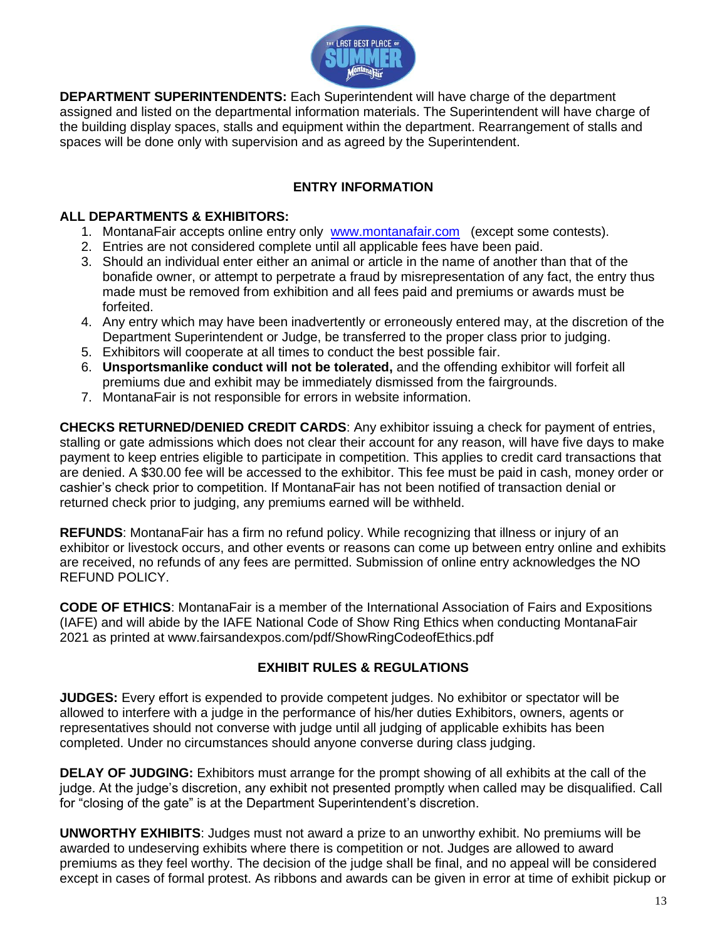

**DEPARTMENT SUPERINTENDENTS:** Each Superintendent will have charge of the department assigned and listed on the departmental information materials. The Superintendent will have charge of the building display spaces, stalls and equipment within the department. Rearrangement of stalls and spaces will be done only with supervision and as agreed by the Superintendent.

### **ENTRY INFORMATION**

### **ALL DEPARTMENTS & EXHIBITORS:**

- 1. MontanaFair accepts online entry only [www.montanafair.com](http://www.montanafair.com/) (except some contests).
- 2. Entries are not considered complete until all applicable fees have been paid.
- 3. Should an individual enter either an animal or article in the name of another than that of the bonafide owner, or attempt to perpetrate a fraud by misrepresentation of any fact, the entry thus made must be removed from exhibition and all fees paid and premiums or awards must be forfeited.
- 4. Any entry which may have been inadvertently or erroneously entered may, at the discretion of the Department Superintendent or Judge, be transferred to the proper class prior to judging.
- 5. Exhibitors will cooperate at all times to conduct the best possible fair.
- 6. **Unsportsmanlike conduct will not be tolerated,** and the offending exhibitor will forfeit all premiums due and exhibit may be immediately dismissed from the fairgrounds.
- 7. MontanaFair is not responsible for errors in website information.

**CHECKS RETURNED/DENIED CREDIT CARDS**: Any exhibitor issuing a check for payment of entries, stalling or gate admissions which does not clear their account for any reason, will have five days to make payment to keep entries eligible to participate in competition. This applies to credit card transactions that are denied. A \$30.00 fee will be accessed to the exhibitor. This fee must be paid in cash, money order or cashier's check prior to competition. If MontanaFair has not been notified of transaction denial or returned check prior to judging, any premiums earned will be withheld.

**REFUNDS**: MontanaFair has a firm no refund policy. While recognizing that illness or injury of an exhibitor or livestock occurs, and other events or reasons can come up between entry online and exhibits are received, no refunds of any fees are permitted. Submission of online entry acknowledges the NO REFUND POLICY.

**CODE OF ETHICS**: MontanaFair is a member of the International Association of Fairs and Expositions (IAFE) and will abide by the IAFE National Code of Show Ring Ethics when conducting MontanaFair 2021 as printed at www.fairsandexpos.com/pdf/ShowRingCodeofEthics.pdf

### **EXHIBIT RULES & REGULATIONS**

**JUDGES:** Every effort is expended to provide competent judges. No exhibitor or spectator will be allowed to interfere with a judge in the performance of his/her duties Exhibitors, owners, agents or representatives should not converse with judge until all judging of applicable exhibits has been completed. Under no circumstances should anyone converse during class judging.

**DELAY OF JUDGING:** Exhibitors must arrange for the prompt showing of all exhibits at the call of the judge. At the judge's discretion, any exhibit not presented promptly when called may be disqualified. Call for "closing of the gate" is at the Department Superintendent's discretion.

**UNWORTHY EXHIBITS**: Judges must not award a prize to an unworthy exhibit. No premiums will be awarded to undeserving exhibits where there is competition or not. Judges are allowed to award premiums as they feel worthy. The decision of the judge shall be final, and no appeal will be considered except in cases of formal protest. As ribbons and awards can be given in error at time of exhibit pickup or